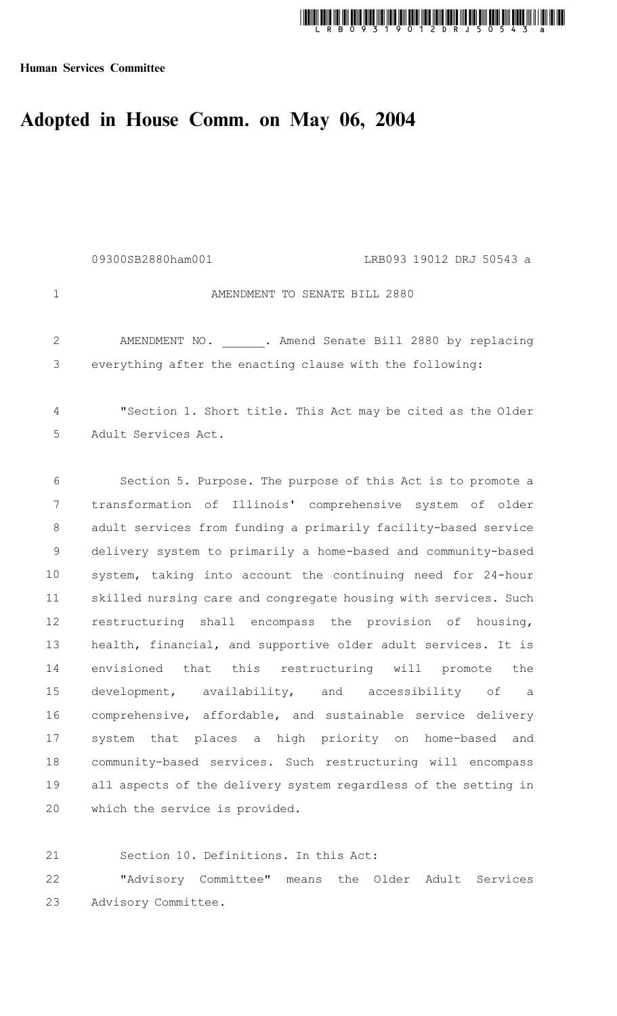# thing this angle is good and shall had good shall had been a speed and the good and good file and good in 1900<br>The contract of the contract of the contract of the contract of the contract of the contract of the contract o

Human Services Committee

## Adopted in House Comm. on May 06, 2004

|                | 09300SB2880ham001<br>LRB093 19012 DRJ 50543 a                   |
|----------------|-----------------------------------------------------------------|
| $\mathbf 1$    | AMENDMENT TO SENATE BILL 2880                                   |
| 2              | AMENDMENT NO. . Amend Senate Bill 2880 by replacing             |
| 3              | everything after the enacting clause with the following:        |
| $\overline{4}$ | "Section 1. Short title. This Act may be cited as the Older     |
| 5              | Adult Services Act.                                             |
| 6              | Section 5. Purpose. The purpose of this Act is to promote a     |
| $7\phantom{.}$ | transformation of Illinois' comprehensive system of older       |
| $8\,$          | adult services from funding a primarily facility-based service  |
| $\overline{9}$ | delivery system to primarily a home-based and community-based   |
| 10             | system, taking into account the continuing need for 24-hour     |
| 11             | skilled nursing care and congregate housing with services. Such |
| 12             | restructuring shall encompass the provision of housing,         |
| 13             | health, financial, and supportive older adult services. It is   |
| 14             | envisioned that this restructuring will promote the             |
| 15             | development, availability, and accessibility of a               |

comprehensive, affordable, and sustainable service delivery system that places a high priority on home-based and community-based services. Such restructuring will encompass all aspects of the delivery system regardless of the setting in which the service is provided. 16 17 18 19 20

21

Section 10. Definitions. In this Act:

"Advisory Committee" means the Older Adult Services Advisory Committee. 22 23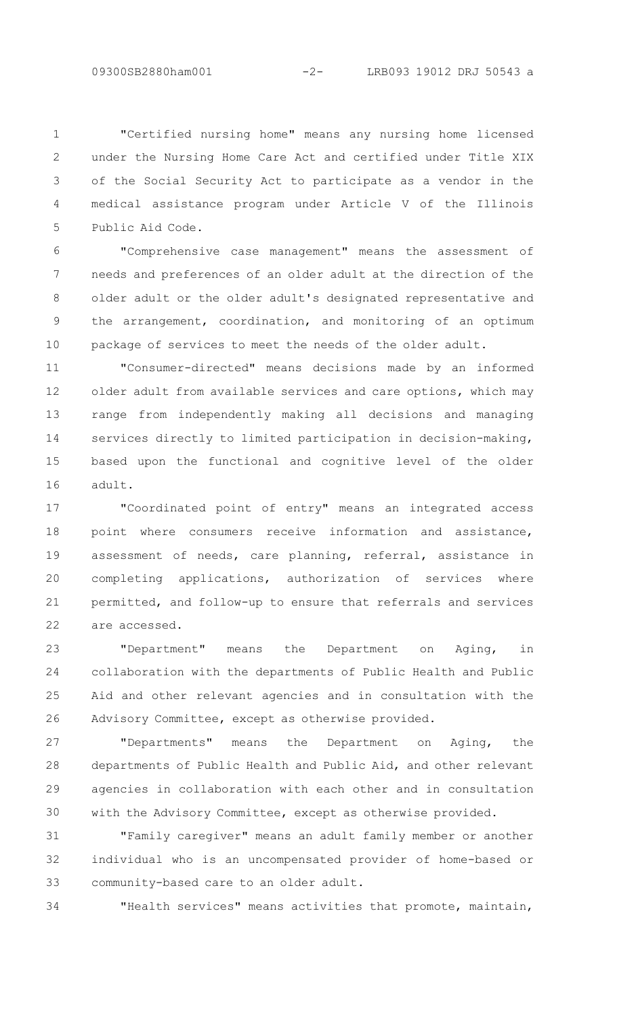"Certified nursing home" means any nursing home licensed under the Nursing Home Care Act and certified under Title XIX of the Social Security Act to participate as a vendor in the medical assistance program under Article V of the Illinois Public Aid Code. 1  $\mathcal{P}$ 3 4 5

"Comprehensive case management" means the assessment of needs and preferences of an older adult at the direction of the older adult or the older adult's designated representative and the arrangement, coordination, and monitoring of an optimum package of services to meet the needs of the older adult. 6 7 8 9 10

"Consumer-directed" means decisions made by an informed older adult from available services and care options, which may range from independently making all decisions and managing services directly to limited participation in decision-making, based upon the functional and cognitive level of the older adult. 11 12 13 14 15 16

"Coordinated point of entry" means an integrated access point where consumers receive information and assistance, assessment of needs, care planning, referral, assistance in completing applications, authorization of services where permitted, and follow-up to ensure that referrals and services are accessed. 17 18 19 20 21 22

"Department" means the Department on Aging, in collaboration with the departments of Public Health and Public Aid and other relevant agencies and in consultation with the Advisory Committee, except as otherwise provided. 23  $24$ 25 26

"Departments" means the Department on Aging, the departments of Public Health and Public Aid, and other relevant agencies in collaboration with each other and in consultation with the Advisory Committee, except as otherwise provided. 27 28 29 30

"Family caregiver" means an adult family member or another individual who is an uncompensated provider of home-based or community-based care to an older adult. 31 32 33

"Health services" means activities that promote, maintain,

34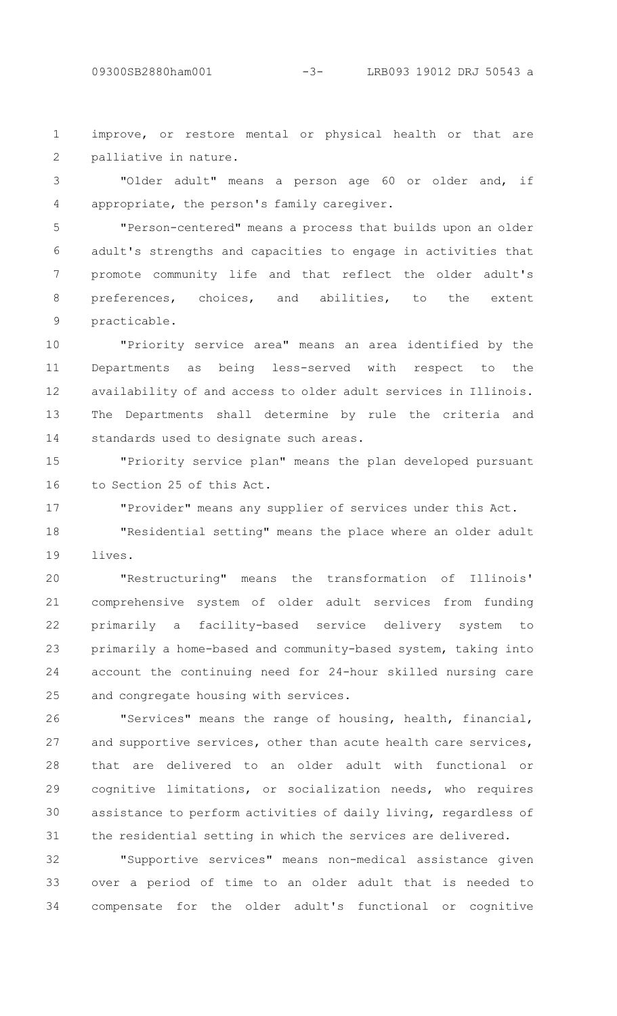improve, or restore mental or physical health or that are palliative in nature. 1 2

"Older adult" means a person age 60 or older and, if appropriate, the person's family caregiver. 3 4

"Person-centered" means a process that builds upon an older adult's strengths and capacities to engage in activities that promote community life and that reflect the older adult's preferences, choices, and abilities, to the extent practicable. 5 6 7 8 9

"Priority service area" means an area identified by the Departments as being less-served with respect to the availability of and access to older adult services in Illinois. The Departments shall determine by rule the criteria and standards used to designate such areas. 10 11 12 13 14

"Priority service plan" means the plan developed pursuant to Section 25 of this Act. 15 16

17

"Provider" means any supplier of services under this Act.

"Residential setting" means the place where an older adult lives. 18 19

"Restructuring" means the transformation of Illinois' comprehensive system of older adult services from funding primarily a facility-based service delivery system to primarily a home-based and community-based system, taking into account the continuing need for 24-hour skilled nursing care and congregate housing with services. 20 21 22 23 24 25

"Services" means the range of housing, health, financial, and supportive services, other than acute health care services, that are delivered to an older adult with functional or cognitive limitations, or socialization needs, who requires assistance to perform activities of daily living, regardless of the residential setting in which the services are delivered. 26 27 28 29 30 31

"Supportive services" means non-medical assistance given over a period of time to an older adult that is needed to compensate for the older adult's functional or cognitive 32 33 34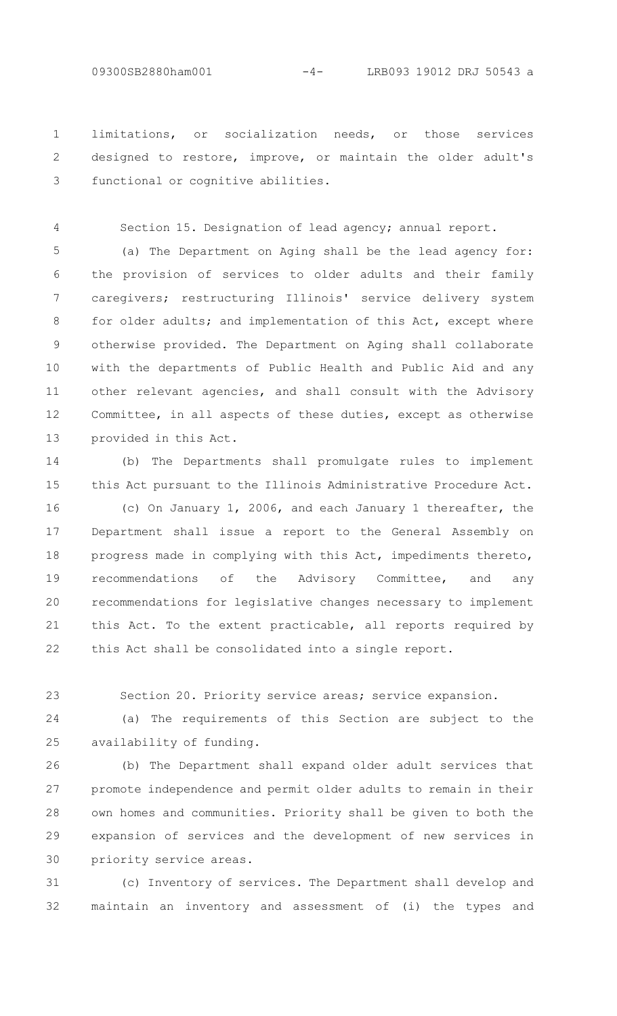4

limitations, or socialization needs, or those services designed to restore, improve, or maintain the older adult's functional or cognitive abilities. 1 2 3

Section 15. Designation of lead agency; annual report.

(a) The Department on Aging shall be the lead agency for: the provision of services to older adults and their family caregivers; restructuring Illinois' service delivery system for older adults; and implementation of this Act, except where otherwise provided. The Department on Aging shall collaborate with the departments of Public Health and Public Aid and any other relevant agencies, and shall consult with the Advisory Committee, in all aspects of these duties, except as otherwise provided in this Act. 5 6 7 8 9 10 11 12 13

(b) The Departments shall promulgate rules to implement this Act pursuant to the Illinois Administrative Procedure Act. 14 15

(c) On January 1, 2006, and each January 1 thereafter, the Department shall issue a report to the General Assembly on progress made in complying with this Act, impediments thereto, recommendations of the Advisory Committee, and any recommendations for legislative changes necessary to implement this Act. To the extent practicable, all reports required by this Act shall be consolidated into a single report. 16 17 18 19 20 21 22

Section 20. Priority service areas; service expansion. 23

(a) The requirements of this Section are subject to the availability of funding. 24 25

(b) The Department shall expand older adult services that promote independence and permit older adults to remain in their own homes and communities. Priority shall be given to both the expansion of services and the development of new services in priority service areas. 26 27 28 29 30

(c) Inventory of services. The Department shall develop and maintain an inventory and assessment of (i) the types and 31 32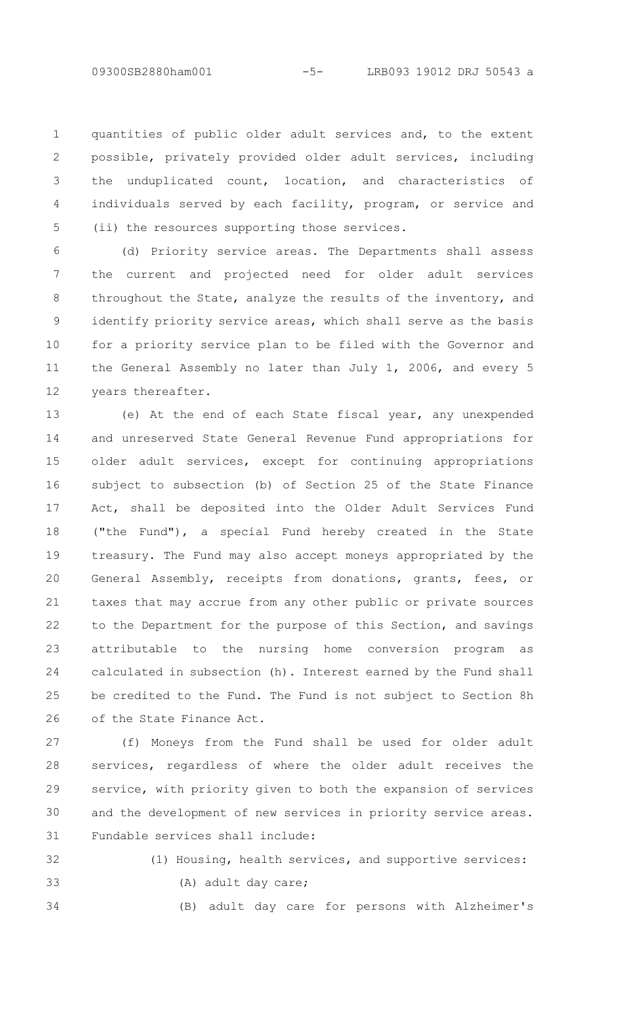quantities of public older adult services and, to the extent possible, privately provided older adult services, including the unduplicated count, location, and characteristics of individuals served by each facility, program, or service and (ii) the resources supporting those services. 1  $\mathcal{P}$ 3 4 5

(d) Priority service areas. The Departments shall assess the current and projected need for older adult services throughout the State, analyze the results of the inventory, and identify priority service areas, which shall serve as the basis for a priority service plan to be filed with the Governor and the General Assembly no later than July 1, 2006, and every 5 years thereafter. 6 7 8 9 10 11 12

(e) At the end of each State fiscal year, any unexpended and unreserved State General Revenue Fund appropriations for older adult services, except for continuing appropriations subject to subsection (b) of Section 25 of the State Finance Act, shall be deposited into the Older Adult Services Fund ("the Fund"), a special Fund hereby created in the State treasury. The Fund may also accept moneys appropriated by the General Assembly, receipts from donations, grants, fees, or taxes that may accrue from any other public or private sources to the Department for the purpose of this Section, and savings attributable to the nursing home conversion program as calculated in subsection (h). Interest earned by the Fund shall be credited to the Fund. The Fund is not subject to Section 8h of the State Finance Act. 13 14 15 16 17 18 19 20 21 22 23 24 25 26

(f) Moneys from the Fund shall be used for older adult services, regardless of where the older adult receives the service, with priority given to both the expansion of services and the development of new services in priority service areas. Fundable services shall include: 27 28 29 30 31

```
32
```
(A) adult day care;

34

33

(B) adult day care for persons with Alzheimer's

(1) Housing, health services, and supportive services: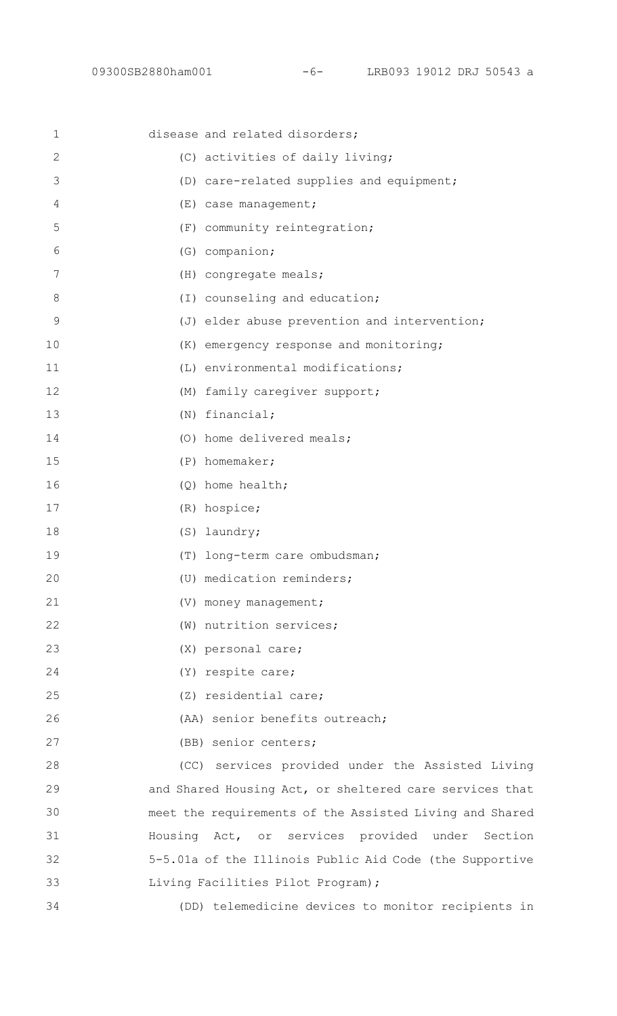| $\mathbf 1$   | disease and related disorders;                          |
|---------------|---------------------------------------------------------|
| 2             | (C) activities of daily living;                         |
| 3             | (D) care-related supplies and equipment;                |
| 4             | (E) case management;                                    |
| 5             | (F) community reintegration;                            |
| 6             | (G) companion;                                          |
| 7             | (H) congregate meals;                                   |
| 8             | (I) counseling and education;                           |
| $\mathcal{G}$ | (J) elder abuse prevention and intervention;            |
| 10            | (K) emergency response and monitoring;                  |
| 11            | (L) environmental modifications;                        |
| 12            | (M) family caregiver support;                           |
| 13            | $(N)$ financial;                                        |
| 14            | (0) home delivered meals;                               |
| 15            | $(P)$ homemaker;                                        |
| 16            | $(Q)$ home health;                                      |
| 17            | (R) hospice;                                            |
| 18            | (S) laundry;                                            |
| 19            | (T) long-term care ombudsman;                           |
| 20            | (U) medication reminders;                               |
| 21            | (V) money management;                                   |
| 22            | (W) nutrition services;                                 |
| 23            | (X) personal care;                                      |
| 24            | (Y) respite care;                                       |
| 25            | (Z) residential care;                                   |
| 26            | (AA) senior benefits outreach;                          |
| 27            | (BB) senior centers;                                    |
| 28            | (CC) services provided under the Assisted Living        |
| 29            | and Shared Housing Act, or sheltered care services that |
| 30            | meet the requirements of the Assisted Living and Shared |
| 31            | Housing Act, or services provided under Section         |
| 32            | 5-5.01a of the Illinois Public Aid Code (the Supportive |
| 33            | Living Facilities Pilot Program);                       |
| 34            | (DD) telemedicine devices to monitor recipients in      |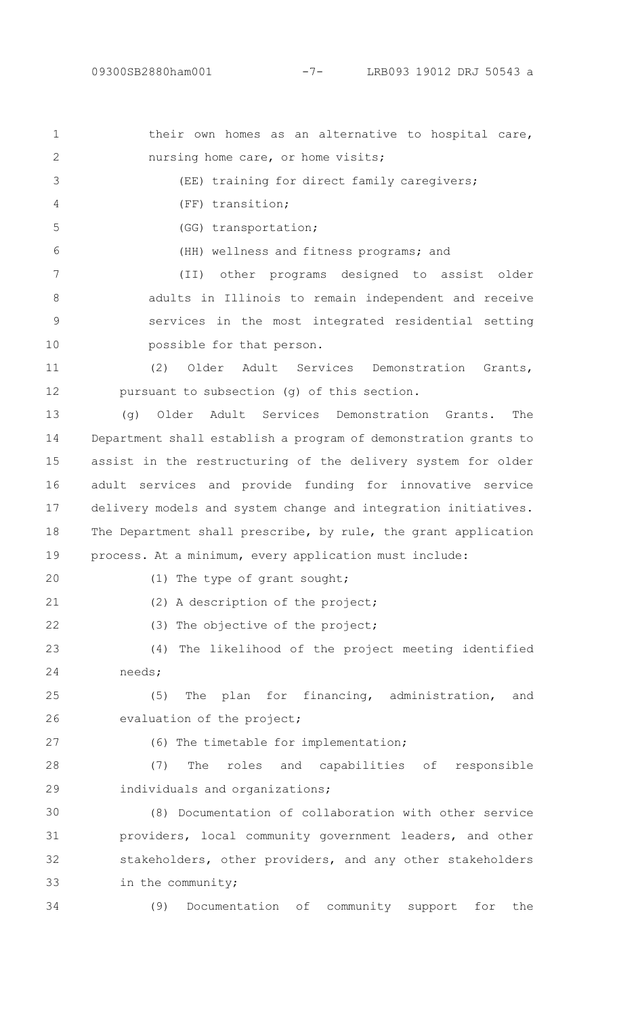| $\mathbf 1$    | their own homes as an alternative to hospital care,             |
|----------------|-----------------------------------------------------------------|
| $\mathbf{2}$   | nursing home care, or home visits;                              |
| 3              | (EE) training for direct family caregivers;                     |
| $\overline{4}$ | (FF) transition;                                                |
| 5              | (GG) transportation;                                            |
| 6              | (HH) wellness and fitness programs; and                         |
| 7              | other programs designed to assist older<br>(TI)                 |
| $\,8\,$        | adults in Illinois to remain independent and receive            |
| $\mathcal{G}$  | services in the most integrated residential setting             |
| 10             | possible for that person.                                       |
| 11             | (2)<br>Older<br>Adult Services Demonstration<br>Grants,         |
| 12             | pursuant to subsection (g) of this section.                     |
| 13             | Older<br>Adult Services Demonstration Grants.<br>(q)<br>The     |
| 14             | Department shall establish a program of demonstration grants to |
| 15             | assist in the restructuring of the delivery system for older    |
| 16             | adult services and provide funding for innovative service       |
| 17             | delivery models and system change and integration initiatives.  |
| 18             | The Department shall prescribe, by rule, the grant application  |
| 19             | process. At a minimum, every application must include:          |
| 20             | (1) The type of grant sought;                                   |
| 21             | (2) A description of the project;                               |
| 22             | (3) The objective of the project;                               |
| 23             | (4) The likelihood of the project meeting identified            |
| 24             | needs;                                                          |
| 25             | The plan for financing, administration, and<br>(5)              |
| 26             | evaluation of the project;                                      |
| 27             | (6) The timetable for implementation;                           |
| 28             | The roles and capabilities of responsible<br>(7)                |
| 29             | individuals and organizations;                                  |
| 30             | (8) Documentation of collaboration with other service           |
| 31             | providers, local community government leaders, and other        |
| 32             | stakeholders, other providers, and any other stakeholders       |
| 33             | in the community;                                               |
| 34             | (9)<br>Documentation of community<br>support<br>for<br>the      |
|                |                                                                 |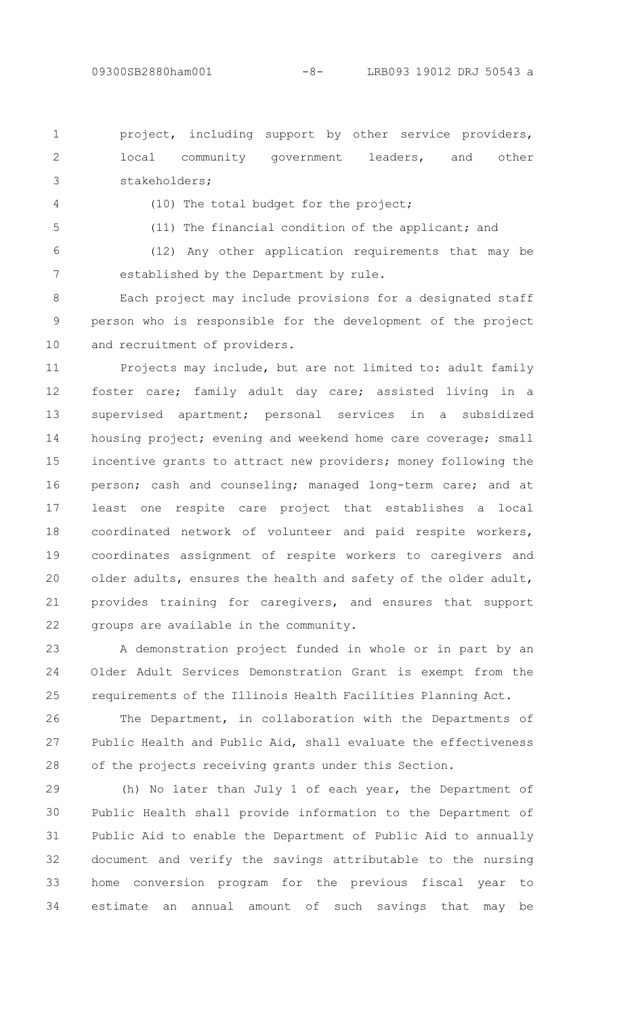project, including support by other service providers, local community government leaders, and other stakeholders; 1  $\mathcal{P}$ 3

4

(10) The total budget for the project;

5

(11) The financial condition of the applicant; and

(12) Any other application requirements that may be established by the Department by rule. 6 7

Each project may include provisions for a designated staff person who is responsible for the development of the project and recruitment of providers. 8 9 10

Projects may include, but are not limited to: adult family foster care; family adult day care; assisted living in a supervised apartment; personal services in a subsidized housing project; evening and weekend home care coverage; small incentive grants to attract new providers; money following the person; cash and counseling; managed long-term care; and at least one respite care project that establishes a local coordinated network of volunteer and paid respite workers, coordinates assignment of respite workers to caregivers and older adults, ensures the health and safety of the older adult, provides training for caregivers, and ensures that support groups are available in the community. 11 12 13 14 15 16 17 18 19 20 21 22

A demonstration project funded in whole or in part by an Older Adult Services Demonstration Grant is exempt from the requirements of the Illinois Health Facilities Planning Act. 23 24 25

The Department, in collaboration with the Departments of Public Health and Public Aid, shall evaluate the effectiveness of the projects receiving grants under this Section. 26 27 28

(h) No later than July 1 of each year, the Department of Public Health shall provide information to the Department of Public Aid to enable the Department of Public Aid to annually document and verify the savings attributable to the nursing home conversion program for the previous fiscal year to estimate an annual amount of such savings that may be 29 30 31 32 33 34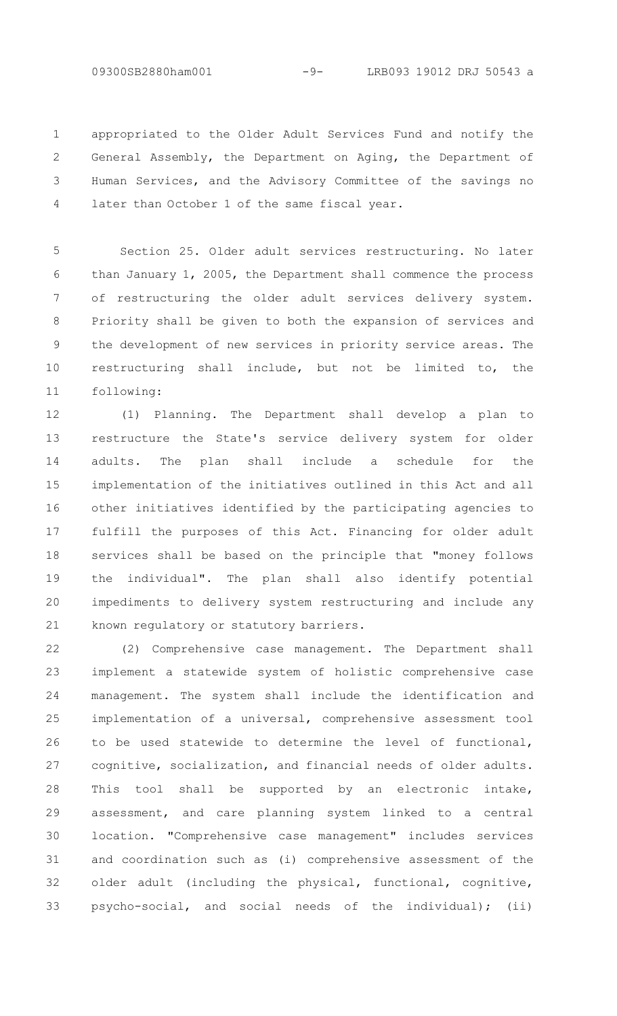09300SB2880ham001 -9- LRB093 19012 DRJ 50543 a

appropriated to the Older Adult Services Fund and notify the General Assembly, the Department on Aging, the Department of Human Services, and the Advisory Committee of the savings no later than October 1 of the same fiscal year. 1 2 3 4

Section 25. Older adult services restructuring. No later than January 1, 2005, the Department shall commence the process of restructuring the older adult services delivery system. Priority shall be given to both the expansion of services and the development of new services in priority service areas. The restructuring shall include, but not be limited to, the following: 5 6 7 8 9 10 11

(1) Planning. The Department shall develop a plan to restructure the State's service delivery system for older adults. The plan shall include a schedule for the implementation of the initiatives outlined in this Act and all other initiatives identified by the participating agencies to fulfill the purposes of this Act. Financing for older adult services shall be based on the principle that "money follows the individual". The plan shall also identify potential impediments to delivery system restructuring and include any known regulatory or statutory barriers. 12 13 14 15 16 17 18 19 20 21

(2) Comprehensive case management. The Department shall implement a statewide system of holistic comprehensive case management. The system shall include the identification and implementation of a universal, comprehensive assessment tool to be used statewide to determine the level of functional, cognitive, socialization, and financial needs of older adults. This tool shall be supported by an electronic intake, assessment, and care planning system linked to a central location. "Comprehensive case management" includes services and coordination such as (i) comprehensive assessment of the older adult (including the physical, functional, cognitive, psycho-social, and social needs of the individual); (ii) 22 23 24 25 26 27 28 29 30 31 32 33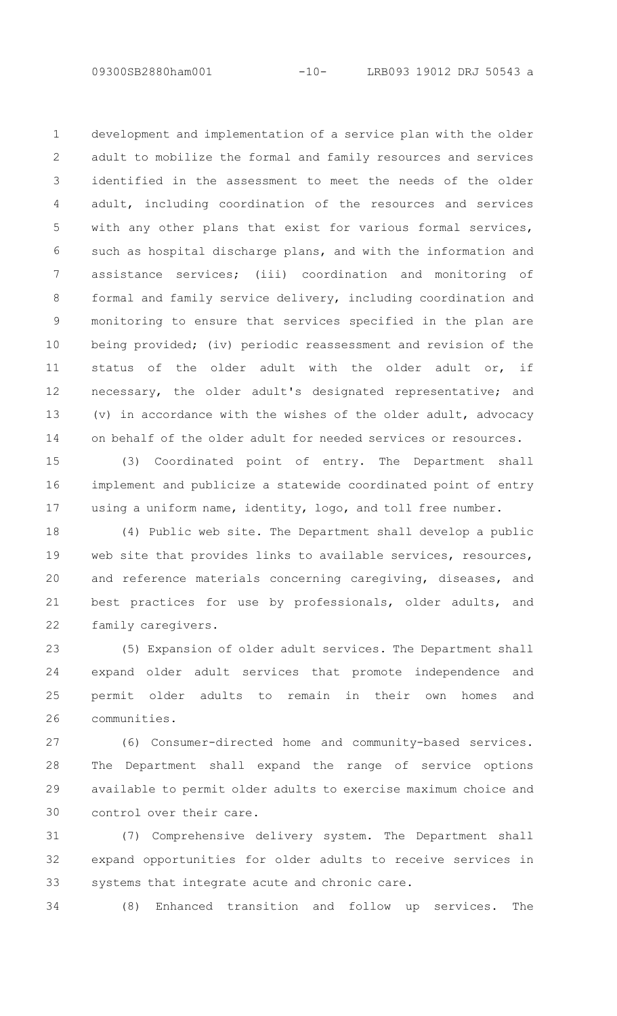development and implementation of a service plan with the older adult to mobilize the formal and family resources and services identified in the assessment to meet the needs of the older adult, including coordination of the resources and services with any other plans that exist for various formal services, such as hospital discharge plans, and with the information and assistance services; (iii) coordination and monitoring of formal and family service delivery, including coordination and monitoring to ensure that services specified in the plan are being provided; (iv) periodic reassessment and revision of the status of the older adult with the older adult or, if necessary, the older adult's designated representative; and (v) in accordance with the wishes of the older adult, advocacy on behalf of the older adult for needed services or resources. 1 2 3 4 5 6 7 8 9 10 11 12 13 14

(3) Coordinated point of entry. The Department shall implement and publicize a statewide coordinated point of entry using a uniform name, identity, logo, and toll free number. 15 16 17

(4) Public web site. The Department shall develop a public web site that provides links to available services, resources, and reference materials concerning caregiving, diseases, and best practices for use by professionals, older adults, and family caregivers. 18 19 20 21 22

(5) Expansion of older adult services. The Department shall expand older adult services that promote independence and permit older adults to remain in their own homes and communities. 23 24 25 26

(6) Consumer-directed home and community-based services. The Department shall expand the range of service options available to permit older adults to exercise maximum choice and control over their care. 27 28 29 30

(7) Comprehensive delivery system. The Department shall expand opportunities for older adults to receive services in systems that integrate acute and chronic care. 31 32 33

(8) Enhanced transition and follow up services. The 34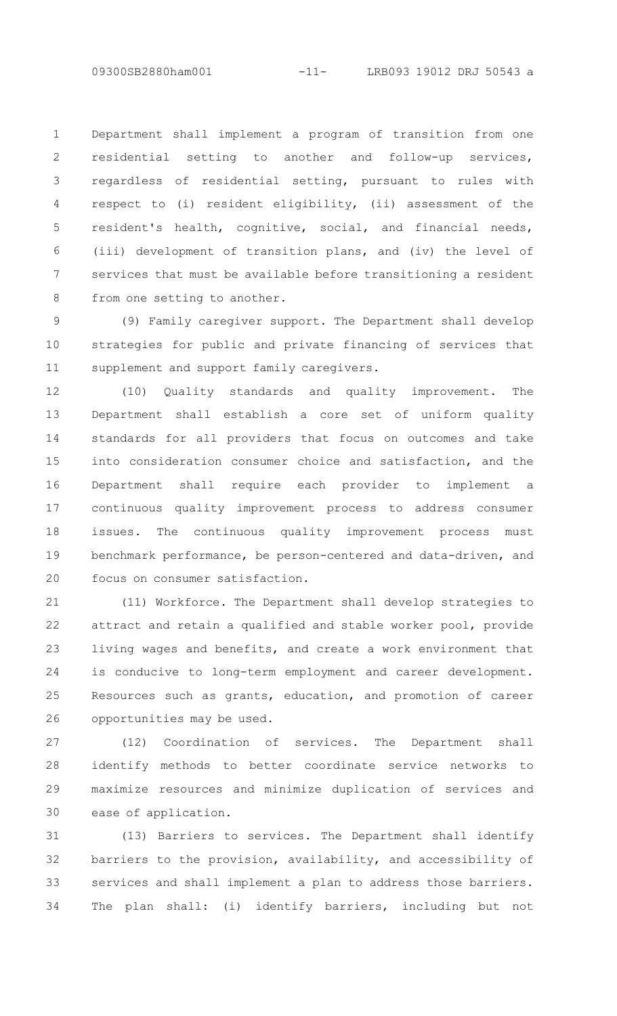Department shall implement a program of transition from one residential setting to another and follow-up services, regardless of residential setting, pursuant to rules with respect to (i) resident eligibility, (ii) assessment of the resident's health, cognitive, social, and financial needs, (iii) development of transition plans, and (iv) the level of services that must be available before transitioning a resident from one setting to another. 1 2 3 4 5 6 7 8

(9) Family caregiver support. The Department shall develop strategies for public and private financing of services that supplement and support family caregivers. 9 10 11

(10) Quality standards and quality improvement. The Department shall establish a core set of uniform quality standards for all providers that focus on outcomes and take into consideration consumer choice and satisfaction, and the Department shall require each provider to implement a continuous quality improvement process to address consumer issues. The continuous quality improvement process must benchmark performance, be person-centered and data-driven, and focus on consumer satisfaction. 12 13 14 15 16 17 18 19 20

(11) Workforce. The Department shall develop strategies to attract and retain a qualified and stable worker pool, provide living wages and benefits, and create a work environment that is conducive to long-term employment and career development. Resources such as grants, education, and promotion of career opportunities may be used. 21 22 23 24 25 26

(12) Coordination of services. The Department shall identify methods to better coordinate service networks to maximize resources and minimize duplication of services and ease of application. 27 28 29 30

(13) Barriers to services. The Department shall identify barriers to the provision, availability, and accessibility of services and shall implement a plan to address those barriers. The plan shall: (i) identify barriers, including but not 31 32 33 34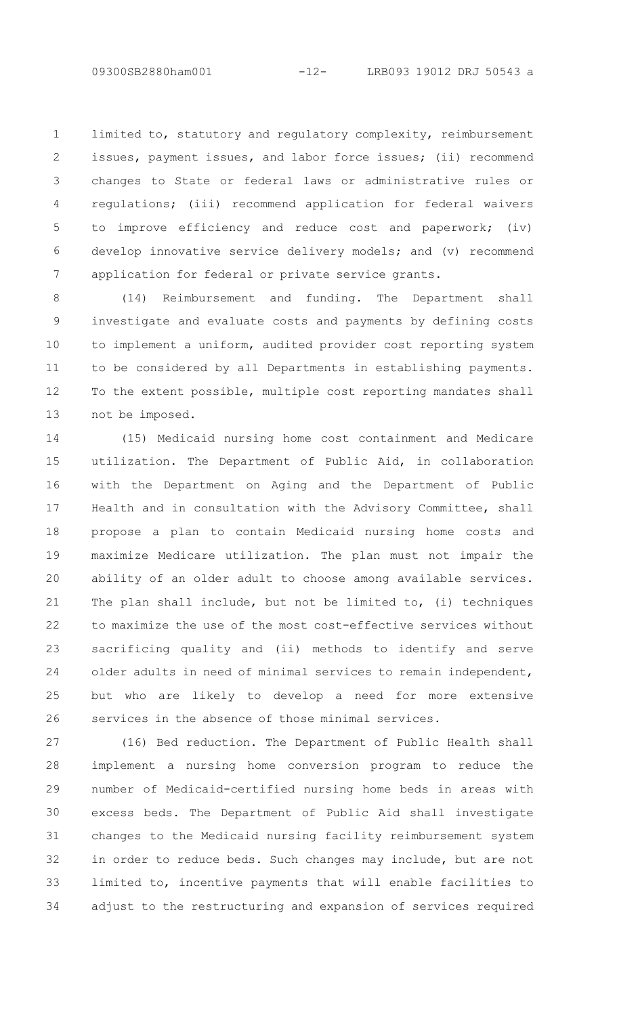limited to, statutory and regulatory complexity, reimbursement issues, payment issues, and labor force issues; (ii) recommend changes to State or federal laws or administrative rules or regulations; (iii) recommend application for federal waivers to improve efficiency and reduce cost and paperwork; (iv) develop innovative service delivery models; and (v) recommend application for federal or private service grants. 1 2 3 4 5 6 7

(14) Reimbursement and funding. The Department shall investigate and evaluate costs and payments by defining costs to implement a uniform, audited provider cost reporting system to be considered by all Departments in establishing payments. To the extent possible, multiple cost reporting mandates shall not be imposed. 8 9 10 11 12 13

(15) Medicaid nursing home cost containment and Medicare utilization. The Department of Public Aid, in collaboration with the Department on Aging and the Department of Public Health and in consultation with the Advisory Committee, shall propose a plan to contain Medicaid nursing home costs and maximize Medicare utilization. The plan must not impair the ability of an older adult to choose among available services. The plan shall include, but not be limited to, (i) techniques to maximize the use of the most cost-effective services without sacrificing quality and (ii) methods to identify and serve older adults in need of minimal services to remain independent, but who are likely to develop a need for more extensive services in the absence of those minimal services. 14 15 16 17 18 19 20 21 22 23  $24$ 25 26

(16) Bed reduction. The Department of Public Health shall implement a nursing home conversion program to reduce the number of Medicaid-certified nursing home beds in areas with excess beds. The Department of Public Aid shall investigate changes to the Medicaid nursing facility reimbursement system in order to reduce beds. Such changes may include, but are not limited to, incentive payments that will enable facilities to adjust to the restructuring and expansion of services required 27 28 29 30 31 32 33 34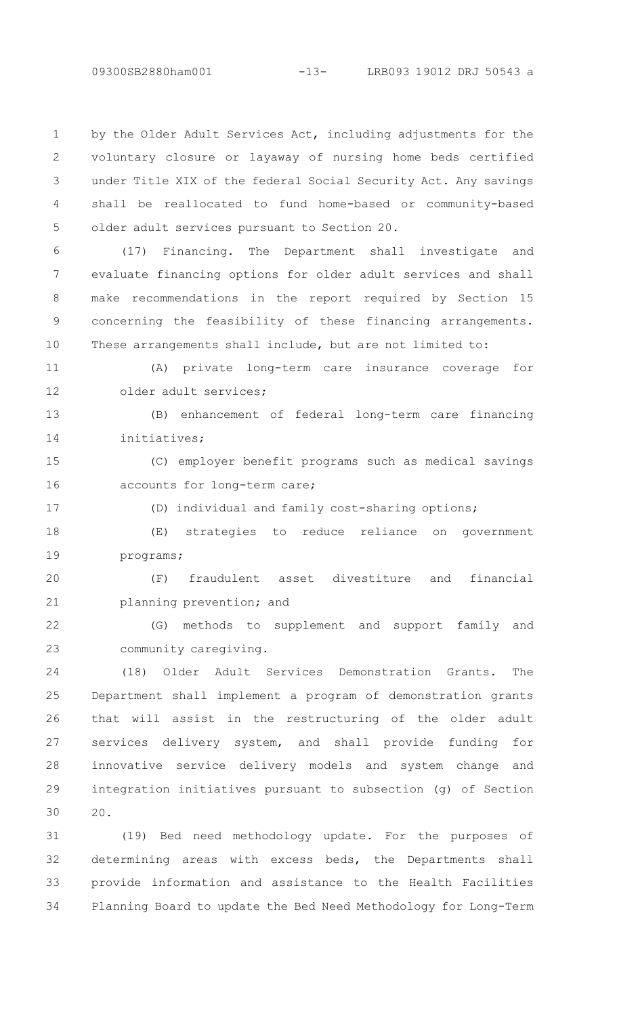by the Older Adult Services Act, including adjustments for the voluntary closure or layaway of nursing home beds certified under Title XIX of the federal Social Security Act. Any savings shall be reallocated to fund home-based or community-based older adult services pursuant to Section 20. 1  $\mathcal{P}$ 3 4 5

(17) Financing. The Department shall investigate and evaluate financing options for older adult services and shall make recommendations in the report required by Section 15 concerning the feasibility of these financing arrangements. These arrangements shall include, but are not limited to: 6 7 8 9 10

(A) private long-term care insurance coverage for older adult services; 11 12

(B) enhancement of federal long-term care financing initiatives; 13 14

(C) employer benefit programs such as medical savings accounts for long-term care; 15 16

17

(D) individual and family cost-sharing options;

(E) strategies to reduce reliance on government programs; 18 19

(F) fraudulent asset divestiture and financial planning prevention; and 20 21

(G) methods to supplement and support family and community caregiving. 22 23

(18) Older Adult Services Demonstration Grants. The Department shall implement a program of demonstration grants that will assist in the restructuring of the older adult services delivery system, and shall provide funding for innovative service delivery models and system change and integration initiatives pursuant to subsection (g) of Section 20.  $24$ 25 26 27 28 29 30

(19) Bed need methodology update. For the purposes of determining areas with excess beds, the Departments shall provide information and assistance to the Health Facilities Planning Board to update the Bed Need Methodology for Long-Term 31 32 33 34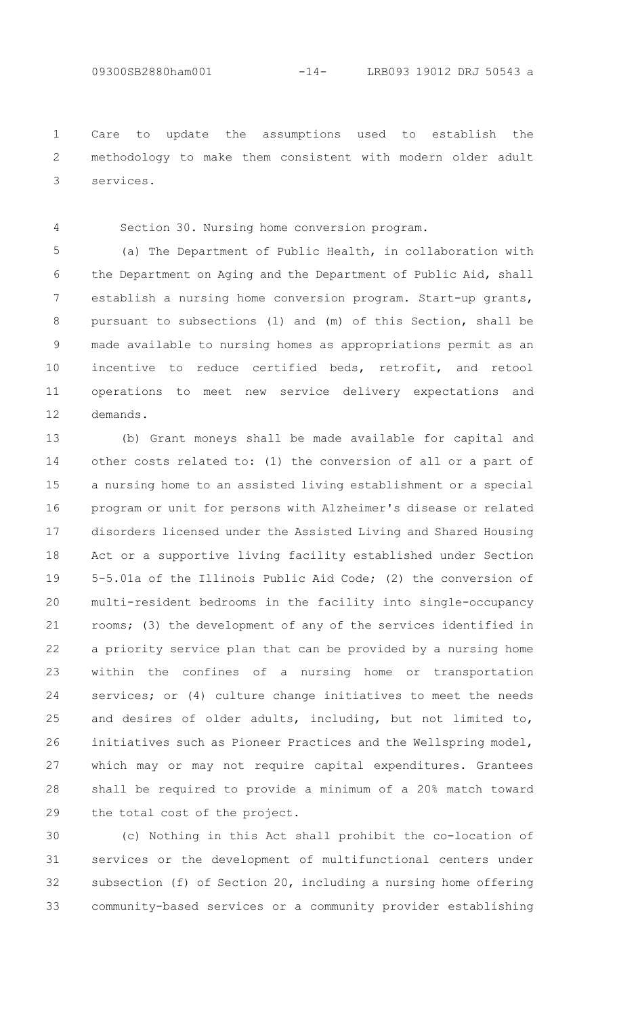Care to update the assumptions used to establish the methodology to make them consistent with modern older adult services. 1  $\mathcal{P}$ 3

4

Section 30. Nursing home conversion program.

(a) The Department of Public Health, in collaboration with the Department on Aging and the Department of Public Aid, shall establish a nursing home conversion program. Start-up grants, pursuant to subsections (l) and (m) of this Section, shall be made available to nursing homes as appropriations permit as an incentive to reduce certified beds, retrofit, and retool operations to meet new service delivery expectations and demands. 5 6 7 8 9 10 11 12

(b) Grant moneys shall be made available for capital and other costs related to: (1) the conversion of all or a part of a nursing home to an assisted living establishment or a special program or unit for persons with Alzheimer's disease or related disorders licensed under the Assisted Living and Shared Housing Act or a supportive living facility established under Section 5-5.01a of the Illinois Public Aid Code; (2) the conversion of multi-resident bedrooms in the facility into single-occupancy rooms; (3) the development of any of the services identified in a priority service plan that can be provided by a nursing home within the confines of a nursing home or transportation services; or (4) culture change initiatives to meet the needs and desires of older adults, including, but not limited to, initiatives such as Pioneer Practices and the Wellspring model, which may or may not require capital expenditures. Grantees shall be required to provide a minimum of a 20% match toward the total cost of the project. 13 14 15 16 17 18 19 20 21 22 23 24 25 26 27 28 29

(c) Nothing in this Act shall prohibit the co-location of services or the development of multifunctional centers under subsection (f) of Section 20, including a nursing home offering community-based services or a community provider establishing 30 31 32 33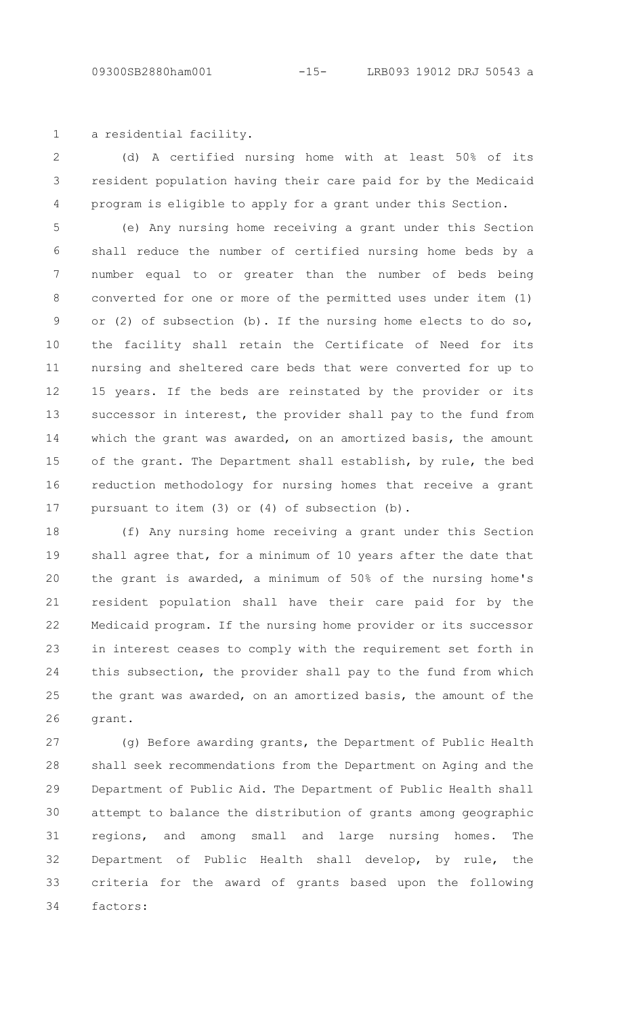1

a residential facility.

(d) A certified nursing home with at least 50% of its resident population having their care paid for by the Medicaid program is eligible to apply for a grant under this Section.  $\mathcal{P}$ 3 4

(e) Any nursing home receiving a grant under this Section shall reduce the number of certified nursing home beds by a number equal to or greater than the number of beds being converted for one or more of the permitted uses under item (1) or (2) of subsection (b). If the nursing home elects to do so, the facility shall retain the Certificate of Need for its nursing and sheltered care beds that were converted for up to 15 years. If the beds are reinstated by the provider or its successor in interest, the provider shall pay to the fund from which the grant was awarded, on an amortized basis, the amount of the grant. The Department shall establish, by rule, the bed reduction methodology for nursing homes that receive a grant pursuant to item (3) or (4) of subsection (b). 5 6 7 8 9 10 11 12 13 14 15 16 17

(f) Any nursing home receiving a grant under this Section shall agree that, for a minimum of 10 years after the date that the grant is awarded, a minimum of 50% of the nursing home's resident population shall have their care paid for by the Medicaid program. If the nursing home provider or its successor in interest ceases to comply with the requirement set forth in this subsection, the provider shall pay to the fund from which the grant was awarded, on an amortized basis, the amount of the grant. 18 19 20 21 22 23 24 25 26

(g) Before awarding grants, the Department of Public Health shall seek recommendations from the Department on Aging and the Department of Public Aid. The Department of Public Health shall attempt to balance the distribution of grants among geographic regions, and among small and large nursing homes. The Department of Public Health shall develop, by rule, the criteria for the award of grants based upon the following factors: 27 28 29 30 31 32 33 34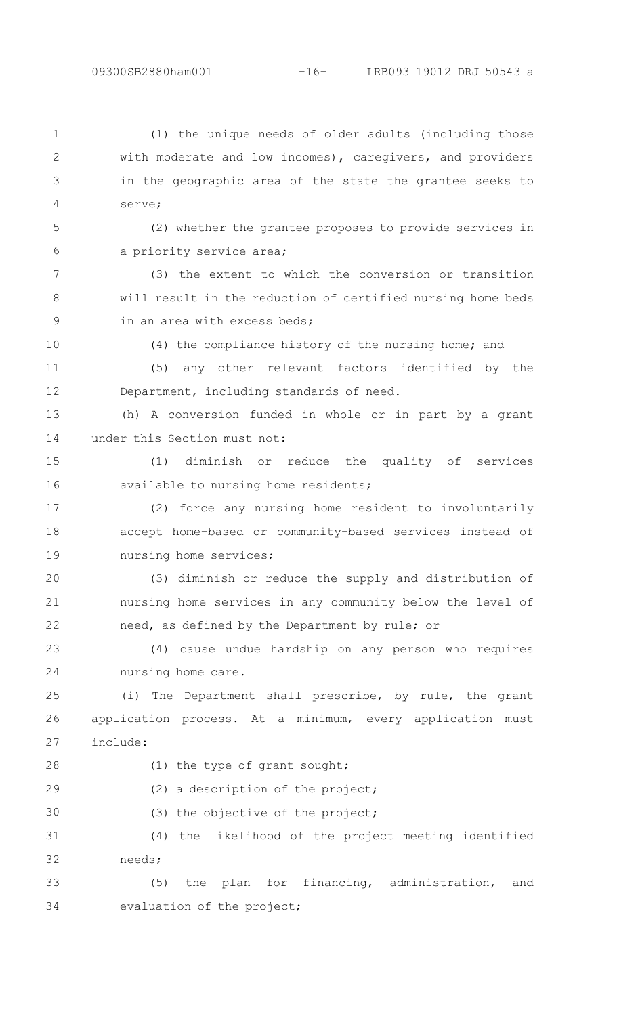(1) the unique needs of older adults (including those with moderate and low incomes), caregivers, and providers in the geographic area of the state the grantee seeks to serve; 1  $\mathcal{P}$ 3 4

(2) whether the grantee proposes to provide services in a priority service area; 5 6

(3) the extent to which the conversion or transition will result in the reduction of certified nursing home beds in an area with excess beds; 7 8 9

10

11

12

(4) the compliance history of the nursing home; and

(5) any other relevant factors identified by the Department, including standards of need.

(h) A conversion funded in whole or in part by a grant under this Section must not: 13 14

(1) diminish or reduce the quality of services available to nursing home residents; 15 16

(2) force any nursing home resident to involuntarily accept home-based or community-based services instead of nursing home services; 17 18 19

(3) diminish or reduce the supply and distribution of nursing home services in any community below the level of need, as defined by the Department by rule; or 20 21 22

(4) cause undue hardship on any person who requires nursing home care. 23 24

(i) The Department shall prescribe, by rule, the grant application process. At a minimum, every application must include: 25 26 27

(1) the type of grant sought; (2) a description of the project; (3) the objective of the project; (4) the likelihood of the project meeting identified needs; 28 29 30 31 32

(5) the plan for financing, administration, and evaluation of the project; 33 34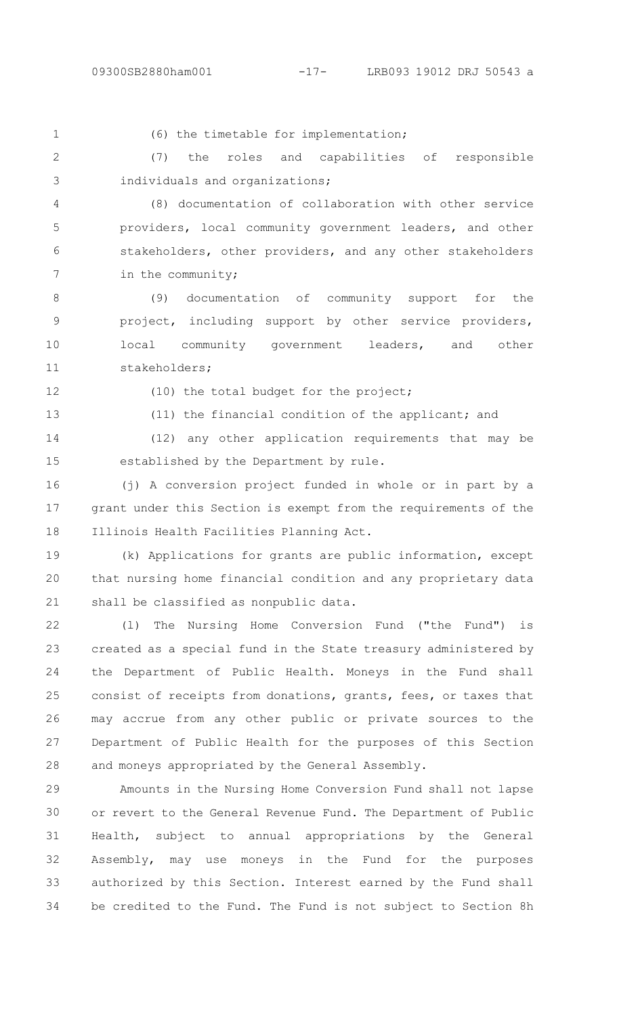(6) the timetable for implementation;

(7) the roles and capabilities of responsible individuals and organizations;  $\mathcal{P}$ 3

(8) documentation of collaboration with other service providers, local community government leaders, and other stakeholders, other providers, and any other stakeholders in the community; 4 5 6 7

(9) documentation of community support for the project, including support by other service providers, local community government leaders, and other stakeholders; 8 9 10 11

12

13

1

(10) the total budget for the project;

(11) the financial condition of the applicant; and

(12) any other application requirements that may be established by the Department by rule. 14 15

(j) A conversion project funded in whole or in part by a grant under this Section is exempt from the requirements of the Illinois Health Facilities Planning Act. 16 17 18

(k) Applications for grants are public information, except that nursing home financial condition and any proprietary data shall be classified as nonpublic data. 19 20 21

(l) The Nursing Home Conversion Fund ("the Fund") is created as a special fund in the State treasury administered by the Department of Public Health. Moneys in the Fund shall consist of receipts from donations, grants, fees, or taxes that may accrue from any other public or private sources to the Department of Public Health for the purposes of this Section and moneys appropriated by the General Assembly. 22 23 24 25 26 27 28

Amounts in the Nursing Home Conversion Fund shall not lapse or revert to the General Revenue Fund. The Department of Public Health, subject to annual appropriations by the General Assembly, may use moneys in the Fund for the purposes authorized by this Section. Interest earned by the Fund shall be credited to the Fund. The Fund is not subject to Section 8h 29 30 31 32 33 34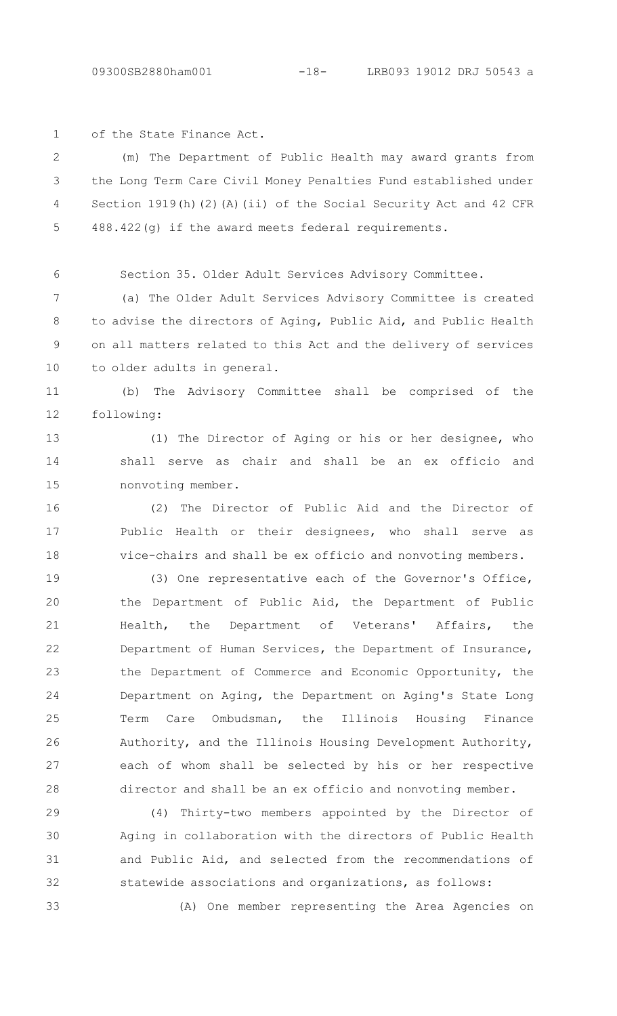of the State Finance Act. 1

(m) The Department of Public Health may award grants from the Long Term Care Civil Money Penalties Fund established under Section 1919(h)(2)(A)(ii) of the Social Security Act and 42 CFR 488.422(g) if the award meets federal requirements.  $\mathcal{P}$ 3 4 5

6

Section 35. Older Adult Services Advisory Committee.

(a) The Older Adult Services Advisory Committee is created to advise the directors of Aging, Public Aid, and Public Health on all matters related to this Act and the delivery of services to older adults in general. 7 8 9 10

(b) The Advisory Committee shall be comprised of the following: 11 12

(1) The Director of Aging or his or her designee, who shall serve as chair and shall be an ex officio and nonvoting member. 13 14 15

(2) The Director of Public Aid and the Director of Public Health or their designees, who shall serve as vice-chairs and shall be ex officio and nonvoting members. 16 17 18

(3) One representative each of the Governor's Office, the Department of Public Aid, the Department of Public Health, the Department of Veterans' Affairs, the Department of Human Services, the Department of Insurance, the Department of Commerce and Economic Opportunity, the Department on Aging, the Department on Aging's State Long Term Care Ombudsman, the Illinois Housing Finance Authority, and the Illinois Housing Development Authority, each of whom shall be selected by his or her respective director and shall be an ex officio and nonvoting member. 19 20 21 22 23 24 25 26 27 28

(4) Thirty-two members appointed by the Director of Aging in collaboration with the directors of Public Health and Public Aid, and selected from the recommendations of statewide associations and organizations, as follows: 29 30 31 32

33

(A) One member representing the Area Agencies on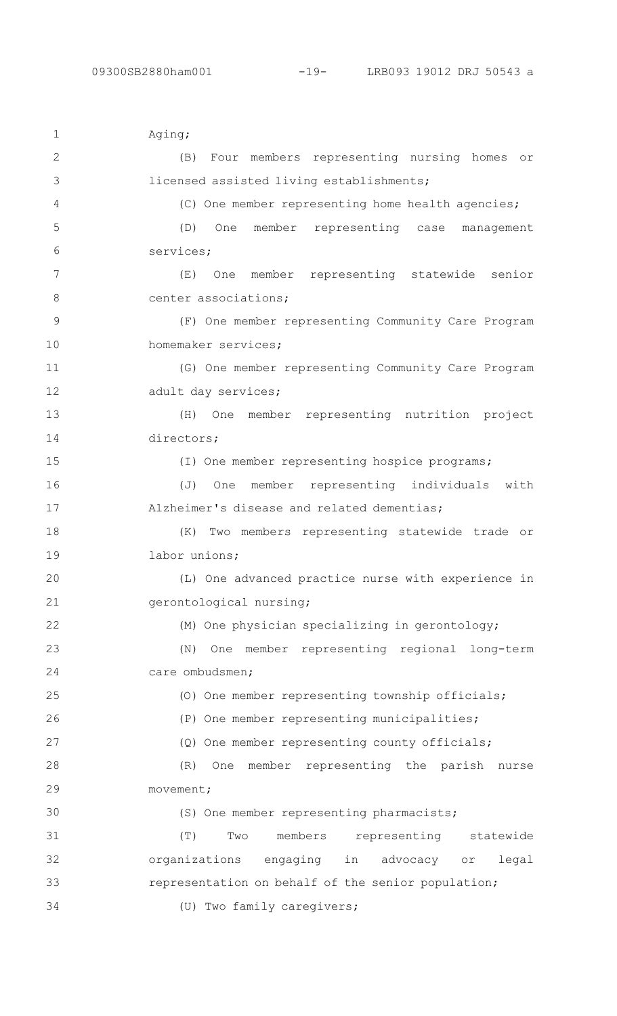| $\mathbf 1$   | Aging;                                                     |
|---------------|------------------------------------------------------------|
| $\mathbf{2}$  | Four members representing nursing homes or<br>(B)          |
| 3             | licensed assisted living establishments;                   |
| 4             | (C) One member representing home health agencies;          |
| 5             | member representing case management<br>(D)<br>One          |
| 6             | services;                                                  |
| 7             | One member representing statewide<br>(E)<br>senior         |
| 8             | center associations;                                       |
| $\mathcal{G}$ | (F) One member representing Community Care Program         |
| 10            | homemaker services;                                        |
| 11            | (G) One member representing Community Care Program         |
| 12            | adult day services;                                        |
| 13            | One member representing nutrition project<br>(H)           |
| 14            | directors;                                                 |
| 15            | (I) One member representing hospice programs;              |
| 16            | with<br>member representing individuals<br>(J)<br>One      |
| 17            | Alzheimer's disease and related dementias;                 |
| 18            | Two members representing statewide trade or<br>(K)         |
| 19            | labor unions;                                              |
| 20            | (L) One advanced practice nurse with experience in         |
| 21            | gerontological nursing;                                    |
| 22            | (M) One physician specializing in gerontology;             |
| 23            | One member representing regional long-term<br>(N)          |
| 24            | care ombudsmen;                                            |
| 25            | (0) One member representing township officials;            |
| 26            | (P) One member representing municipalities;                |
| 27            | (Q) One member representing county officials;              |
| 28            | (R)<br>member representing the parish nurse<br>One         |
| 29            | movement;                                                  |
| 30            | (S) One member representing pharmacists;                   |
| 31            | (T)<br>members<br>representing<br>Two<br>statewide         |
| 32            | organizations<br>engaging<br>legal<br>in<br>advocacy<br>or |
| 33            | representation on behalf of the senior population;         |
| 34            | (U) Two family caregivers;                                 |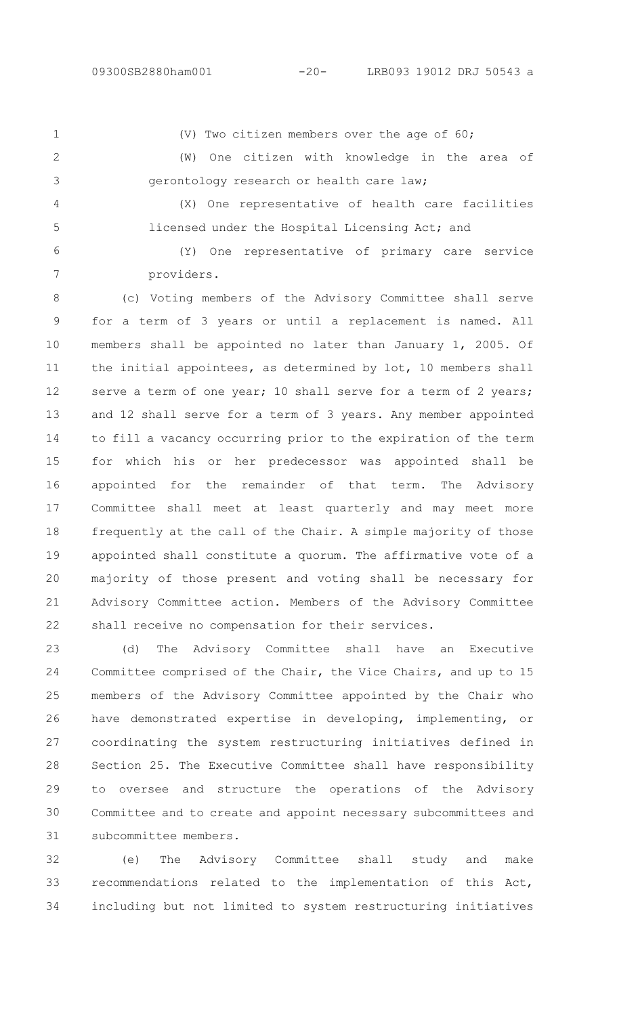(V) Two citizen members over the age of 60;

 $\mathcal{P}$ 

5

1

(W) One citizen with knowledge in the area of

gerontology research or health care law; (X) One representative of health care facilities 3 4

licensed under the Hospital Licensing Act; and

(Y) One representative of primary care service providers. 6 7

(c) Voting members of the Advisory Committee shall serve for a term of 3 years or until a replacement is named. All members shall be appointed no later than January 1, 2005. Of the initial appointees, as determined by lot, 10 members shall serve a term of one year; 10 shall serve for a term of 2 years; and 12 shall serve for a term of 3 years. Any member appointed to fill a vacancy occurring prior to the expiration of the term for which his or her predecessor was appointed shall be appointed for the remainder of that term. The Advisory Committee shall meet at least quarterly and may meet more frequently at the call of the Chair. A simple majority of those appointed shall constitute a quorum. The affirmative vote of a majority of those present and voting shall be necessary for Advisory Committee action. Members of the Advisory Committee shall receive no compensation for their services. 8 9 10 11 12 13 14 15 16 17 18 19 20 21 22

(d) The Advisory Committee shall have an Executive Committee comprised of the Chair, the Vice Chairs, and up to 15 members of the Advisory Committee appointed by the Chair who have demonstrated expertise in developing, implementing, or coordinating the system restructuring initiatives defined in Section 25. The Executive Committee shall have responsibility to oversee and structure the operations of the Advisory Committee and to create and appoint necessary subcommittees and subcommittee members. 23 24 25 26 27 28 29 30 31

(e) The Advisory Committee shall study and make recommendations related to the implementation of this Act, including but not limited to system restructuring initiatives 32 33 34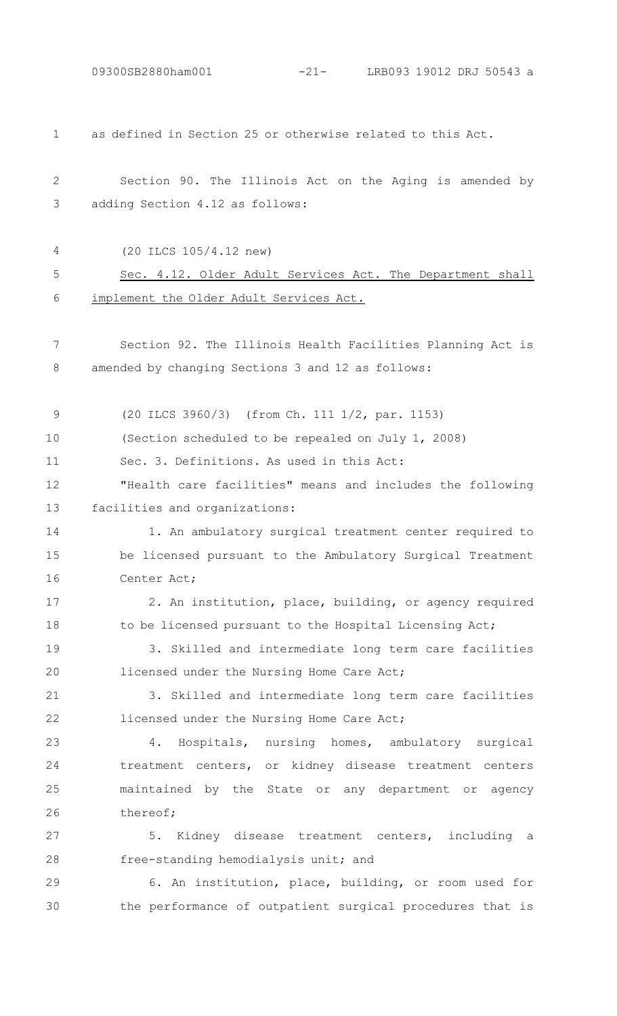09300SB2880ham001 -21- LRB093 19012 DRJ 50543 a

as defined in Section 25 or otherwise related to this Act. 1

|                                   |  | Section 90. The Illinois Act on the Aging is amended by |  |  |  |  |
|-----------------------------------|--|---------------------------------------------------------|--|--|--|--|
| 3 adding Section 4.12 as follows: |  |                                                         |  |  |  |  |

4

17

18

(20 ILCS 105/4.12 new)

### Sec. 4.12. Older Adult Services Act. The Department shall implement the Older Adult Services Act. 5 6

Section 92. The Illinois Health Facilities Planning Act is amended by changing Sections 3 and 12 as follows: 7 8

(20 ILCS 3960/3) (from Ch. 111 1/2, par. 1153) (Section scheduled to be repealed on July 1, 2008) 9 10

Sec. 3. Definitions. As used in this Act: 11

"Health care facilities" means and includes the following facilities and organizations: 12 13

1. An ambulatory surgical treatment center required to be licensed pursuant to the Ambulatory Surgical Treatment Center Act; 14 15 16

2. An institution, place, building, or agency required to be licensed pursuant to the Hospital Licensing Act;

3. Skilled and intermediate long term care facilities licensed under the Nursing Home Care Act; 19 20

3. Skilled and intermediate long term care facilities licensed under the Nursing Home Care Act; 21 22

4. Hospitals, nursing homes, ambulatory surgical treatment centers, or kidney disease treatment centers maintained by the State or any department or agency thereof; 23 24 25 26

5. Kidney disease treatment centers, including a free-standing hemodialysis unit; and 27 28

6. An institution, place, building, or room used for the performance of outpatient surgical procedures that is 29 30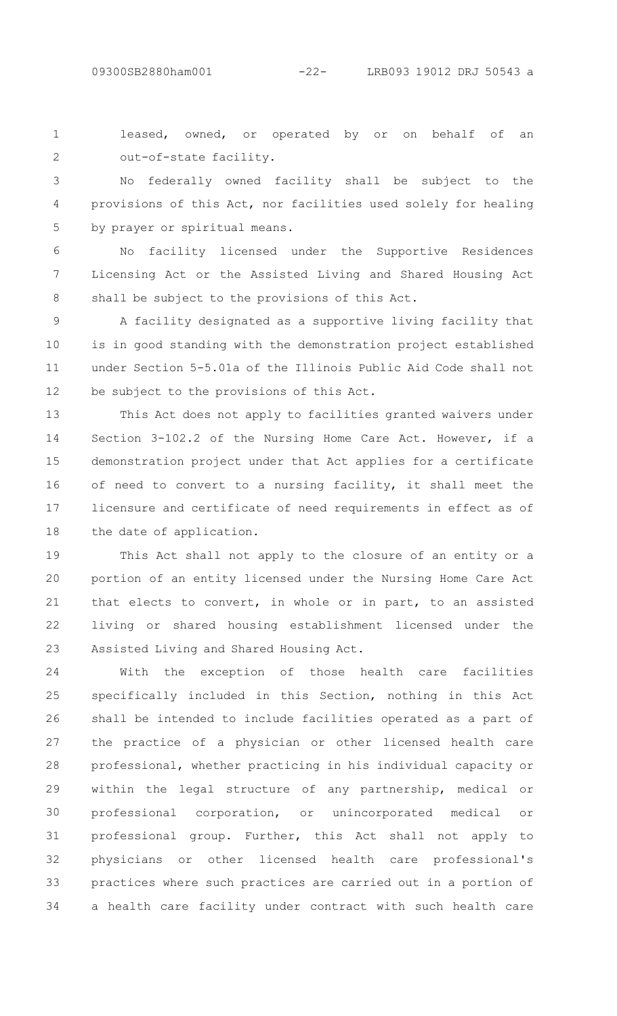leased, owned, or operated by or on behalf of an out-of-state facility. 1  $\mathcal{P}$ 

No federally owned facility shall be subject to the provisions of this Act, nor facilities used solely for healing by prayer or spiritual means. 3 4 5

No facility licensed under the Supportive Residences Licensing Act or the Assisted Living and Shared Housing Act shall be subject to the provisions of this Act. 6 7 8

A facility designated as a supportive living facility that is in good standing with the demonstration project established under Section 5-5.01a of the Illinois Public Aid Code shall not be subject to the provisions of this Act. 9 10 11 12

This Act does not apply to facilities granted waivers under Section 3-102.2 of the Nursing Home Care Act. However, if a demonstration project under that Act applies for a certificate of need to convert to a nursing facility, it shall meet the licensure and certificate of need requirements in effect as of the date of application. 13 14 15 16 17 18

This Act shall not apply to the closure of an entity or a portion of an entity licensed under the Nursing Home Care Act that elects to convert, in whole or in part, to an assisted living or shared housing establishment licensed under the Assisted Living and Shared Housing Act. 19 20 21 22 23

With the exception of those health care facilities specifically included in this Section, nothing in this Act shall be intended to include facilities operated as a part of the practice of a physician or other licensed health care professional, whether practicing in his individual capacity or within the legal structure of any partnership, medical or professional corporation, or unincorporated medical or professional group. Further, this Act shall not apply to physicians or other licensed health care professional's practices where such practices are carried out in a portion of a health care facility under contract with such health care 24 25 26 27 28 29 30 31 32 33 34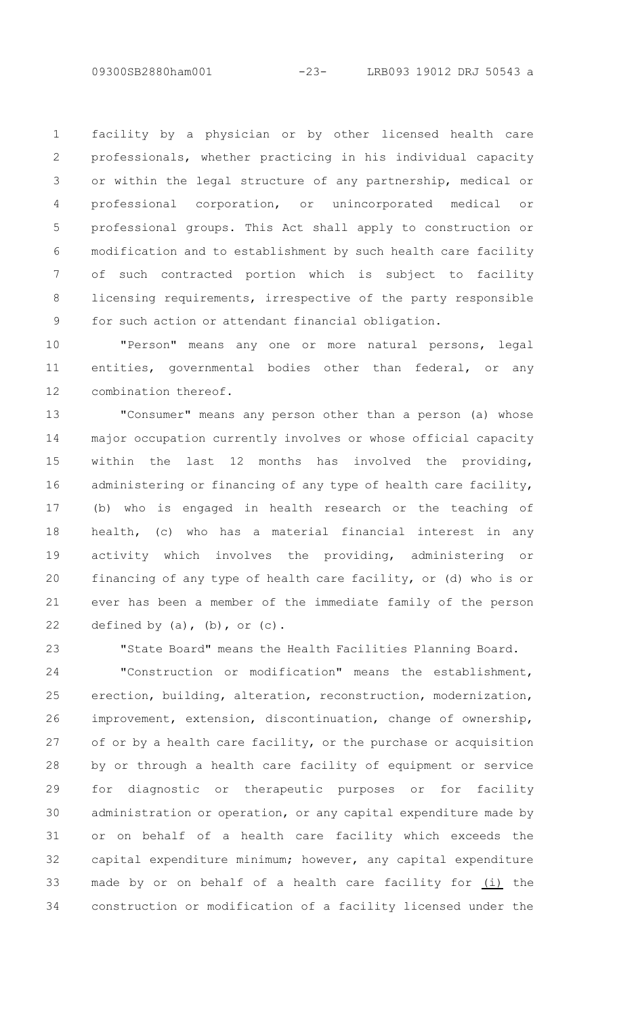facility by a physician or by other licensed health care professionals, whether practicing in his individual capacity or within the legal structure of any partnership, medical or professional corporation, or unincorporated medical or professional groups. This Act shall apply to construction or modification and to establishment by such health care facility of such contracted portion which is subject to facility licensing requirements, irrespective of the party responsible for such action or attendant financial obligation. 1  $\mathcal{P}$ 3 4 5 6 7 8 9

"Person" means any one or more natural persons, legal entities, governmental bodies other than federal, or any combination thereof. 10 11 12

"Consumer" means any person other than a person (a) whose major occupation currently involves or whose official capacity within the last 12 months has involved the providing, administering or financing of any type of health care facility, (b) who is engaged in health research or the teaching of health, (c) who has a material financial interest in any activity which involves the providing, administering or financing of any type of health care facility, or (d) who is or ever has been a member of the immediate family of the person defined by  $(a)$ ,  $(b)$ , or  $(c)$ . 13 14 15 16 17 18 19 20 21 22

23

"State Board" means the Health Facilities Planning Board.

"Construction or modification" means the establishment, erection, building, alteration, reconstruction, modernization, improvement, extension, discontinuation, change of ownership, of or by a health care facility, or the purchase or acquisition by or through a health care facility of equipment or service for diagnostic or therapeutic purposes or for facility administration or operation, or any capital expenditure made by or on behalf of a health care facility which exceeds the capital expenditure minimum; however, any capital expenditure made by or on behalf of a health care facility for (i) the construction or modification of a facility licensed under the 24 25 26 27 28 29 30 31 32 33 34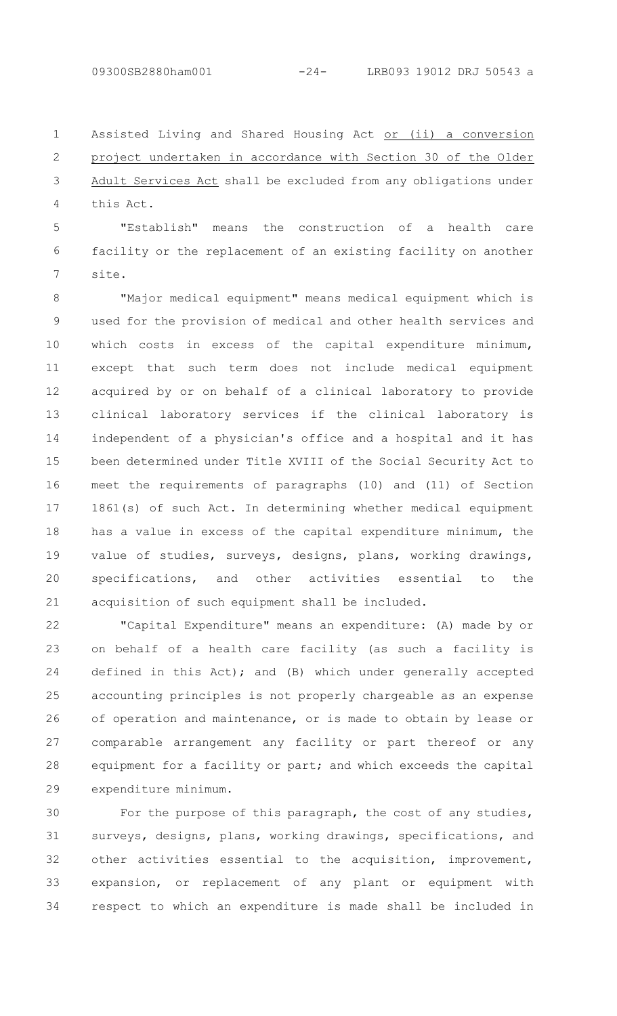Assisted Living and Shared Housing Act or (ii) a conversion project undertaken in accordance with Section 30 of the Older Adult Services Act shall be excluded from any obligations under this Act. 1  $\mathcal{P}$ 3 4

"Establish" means the construction of a health care facility or the replacement of an existing facility on another site. 5 6 7

"Major medical equipment" means medical equipment which is used for the provision of medical and other health services and which costs in excess of the capital expenditure minimum, except that such term does not include medical equipment acquired by or on behalf of a clinical laboratory to provide clinical laboratory services if the clinical laboratory is independent of a physician's office and a hospital and it has been determined under Title XVIII of the Social Security Act to meet the requirements of paragraphs (10) and (11) of Section 1861(s) of such Act. In determining whether medical equipment has a value in excess of the capital expenditure minimum, the value of studies, surveys, designs, plans, working drawings, specifications, and other activities essential to the acquisition of such equipment shall be included. 8 9 10 11 12 13 14 15 16 17 18 19 20 21

"Capital Expenditure" means an expenditure: (A) made by or on behalf of a health care facility (as such a facility is defined in this Act); and (B) which under generally accepted accounting principles is not properly chargeable as an expense of operation and maintenance, or is made to obtain by lease or comparable arrangement any facility or part thereof or any equipment for a facility or part; and which exceeds the capital expenditure minimum. 22 23 24 25 26 27 28 29

For the purpose of this paragraph, the cost of any studies, surveys, designs, plans, working drawings, specifications, and other activities essential to the acquisition, improvement, expansion, or replacement of any plant or equipment with respect to which an expenditure is made shall be included in 30 31 32 33 34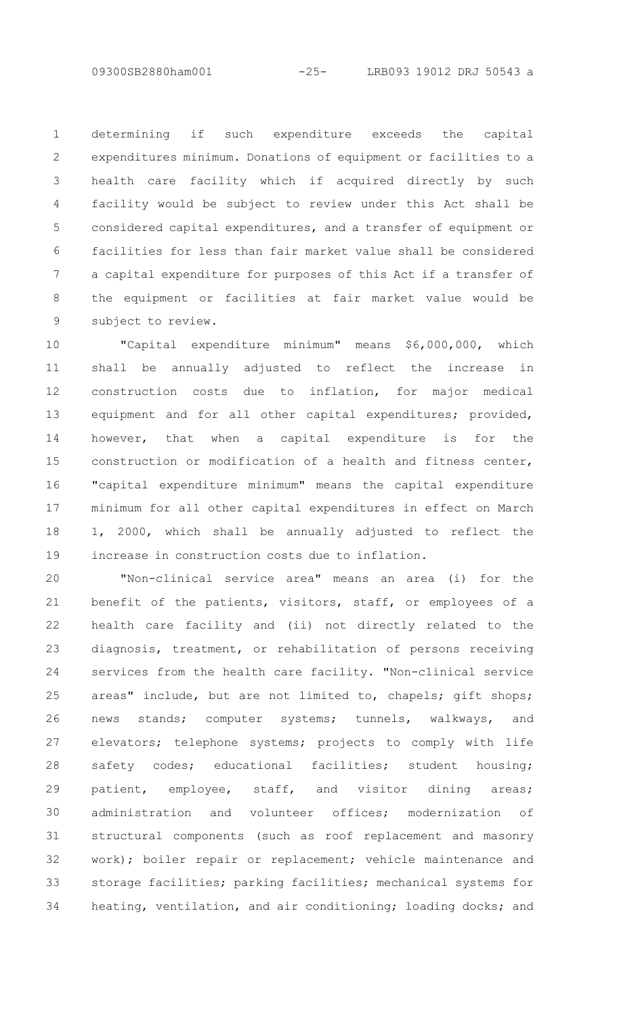determining if such expenditure exceeds the capital expenditures minimum. Donations of equipment or facilities to a health care facility which if acquired directly by such facility would be subject to review under this Act shall be considered capital expenditures, and a transfer of equipment or facilities for less than fair market value shall be considered a capital expenditure for purposes of this Act if a transfer of the equipment or facilities at fair market value would be subject to review. 1 2 3 4 5 6 7 8 9

"Capital expenditure minimum" means \$6,000,000, which shall be annually adjusted to reflect the increase in construction costs due to inflation, for major medical equipment and for all other capital expenditures; provided, however, that when a capital expenditure is for the construction or modification of a health and fitness center, "capital expenditure minimum" means the capital expenditure minimum for all other capital expenditures in effect on March 1, 2000, which shall be annually adjusted to reflect the increase in construction costs due to inflation. 10 11 12 13 14 15 16 17 18 19

"Non-clinical service area" means an area (i) for the benefit of the patients, visitors, staff, or employees of a health care facility and (ii) not directly related to the diagnosis, treatment, or rehabilitation of persons receiving services from the health care facility. "Non-clinical service areas" include, but are not limited to, chapels; gift shops; news stands; computer systems; tunnels, walkways, and elevators; telephone systems; projects to comply with life safety codes; educational facilities; student housing; patient, employee, staff, and visitor dining areas; administration and volunteer offices; modernization of structural components (such as roof replacement and masonry work); boiler repair or replacement; vehicle maintenance and storage facilities; parking facilities; mechanical systems for heating, ventilation, and air conditioning; loading docks; and 20 21 22 23 24 25 26 27 28 29 30 31 32 33 34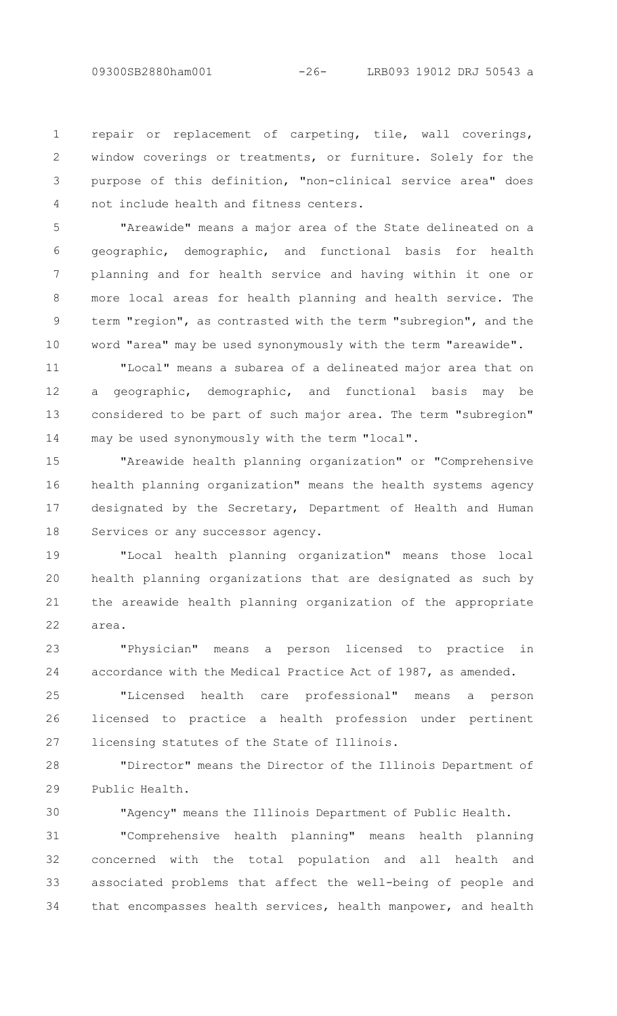repair or replacement of carpeting, tile, wall coverings, window coverings or treatments, or furniture. Solely for the purpose of this definition, "non-clinical service area" does not include health and fitness centers. 1  $\mathcal{P}$ 3 4

"Areawide" means a major area of the State delineated on a geographic, demographic, and functional basis for health planning and for health service and having within it one or more local areas for health planning and health service. The term "region", as contrasted with the term "subregion", and the word "area" may be used synonymously with the term "areawide". 5 6 7 8 9 10

"Local" means a subarea of a delineated major area that on a geographic, demographic, and functional basis may be considered to be part of such major area. The term "subregion" may be used synonymously with the term "local". 11 12 13 14

"Areawide health planning organization" or "Comprehensive health planning organization" means the health systems agency designated by the Secretary, Department of Health and Human Services or any successor agency. 15 16 17 18

"Local health planning organization" means those local health planning organizations that are designated as such by the areawide health planning organization of the appropriate area. 19 20 21 22

"Physician" means a person licensed to practice in accordance with the Medical Practice Act of 1987, as amended. 23  $24$ 

"Licensed health care professional" means a person licensed to practice a health profession under pertinent licensing statutes of the State of Illinois. 25 26 27

"Director" means the Director of the Illinois Department of Public Health. 28 29

30

"Agency" means the Illinois Department of Public Health.

"Comprehensive health planning" means health planning concerned with the total population and all health and associated problems that affect the well-being of people and that encompasses health services, health manpower, and health 31 32 33 34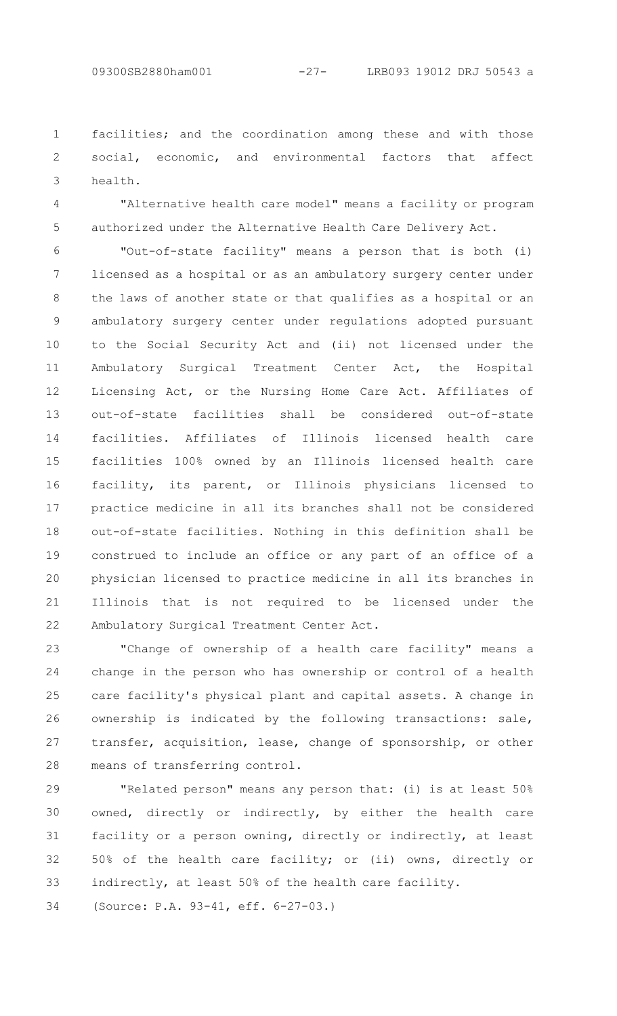facilities; and the coordination among these and with those social, economic, and environmental factors that affect health. 1 2 3

4 5

"Alternative health care model" means a facility or program authorized under the Alternative Health Care Delivery Act.

"Out-of-state facility" means a person that is both (i) licensed as a hospital or as an ambulatory surgery center under the laws of another state or that qualifies as a hospital or an ambulatory surgery center under regulations adopted pursuant to the Social Security Act and (ii) not licensed under the Ambulatory Surgical Treatment Center Act, the Hospital Licensing Act, or the Nursing Home Care Act. Affiliates of out-of-state facilities shall be considered out-of-state facilities. Affiliates of Illinois licensed health care facilities 100% owned by an Illinois licensed health care facility, its parent, or Illinois physicians licensed to practice medicine in all its branches shall not be considered out-of-state facilities. Nothing in this definition shall be construed to include an office or any part of an office of a physician licensed to practice medicine in all its branches in Illinois that is not required to be licensed under the Ambulatory Surgical Treatment Center Act. 6 7 8 9 10 11 12 13 14 15 16 17 18 19 20 21 22

"Change of ownership of a health care facility" means a change in the person who has ownership or control of a health care facility's physical plant and capital assets. A change in ownership is indicated by the following transactions: sale, transfer, acquisition, lease, change of sponsorship, or other means of transferring control. 23 24 25 26 27 28

"Related person" means any person that: (i) is at least 50% owned, directly or indirectly, by either the health care facility or a person owning, directly or indirectly, at least 50% of the health care facility; or (ii) owns, directly or indirectly, at least 50% of the health care facility. (Source: P.A. 93-41, eff. 6-27-03.) 29 30 31 32 33 34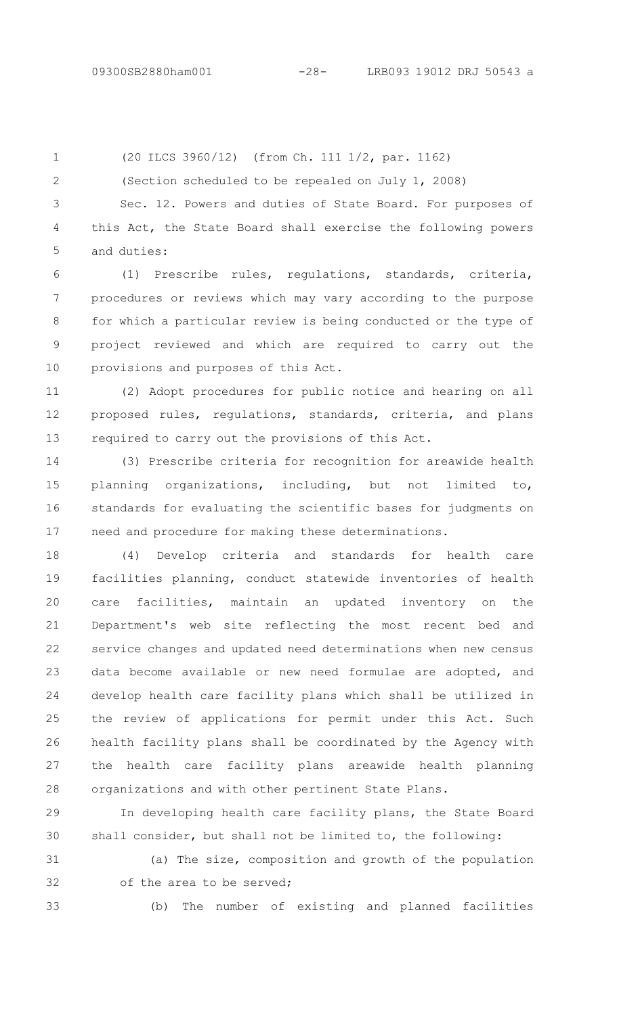2

(20 ILCS 3960/12) (from Ch. 111 1/2, par. 1162) 1

(Section scheduled to be repealed on July 1, 2008)

Sec. 12. Powers and duties of State Board. For purposes of this Act, the State Board shall exercise the following powers and duties: 3 4 5

(1) Prescribe rules, regulations, standards, criteria, procedures or reviews which may vary according to the purpose for which a particular review is being conducted or the type of project reviewed and which are required to carry out the provisions and purposes of this Act. 6 7 8 9 10

(2) Adopt procedures for public notice and hearing on all proposed rules, regulations, standards, criteria, and plans required to carry out the provisions of this Act. 11 12 13

(3) Prescribe criteria for recognition for areawide health planning organizations, including, but not limited to, standards for evaluating the scientific bases for judgments on need and procedure for making these determinations. 14 15 16 17

(4) Develop criteria and standards for health care facilities planning, conduct statewide inventories of health care facilities, maintain an updated inventory on the Department's web site reflecting the most recent bed and service changes and updated need determinations when new census data become available or new need formulae are adopted, and develop health care facility plans which shall be utilized in the review of applications for permit under this Act. Such health facility plans shall be coordinated by the Agency with the health care facility plans areawide health planning organizations and with other pertinent State Plans. 18 19 20 21 22 23 24 25 26 27 28

In developing health care facility plans, the State Board shall consider, but shall not be limited to, the following: 29 30

(a) The size, composition and growth of the population of the area to be served; 31 32

33

(b) The number of existing and planned facilities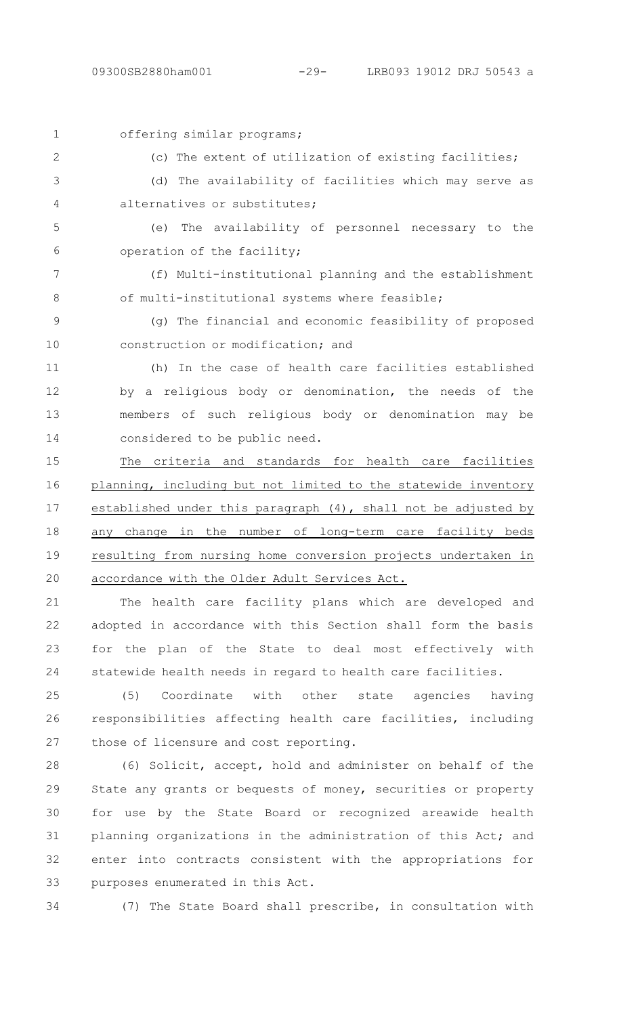| $\mathbf 1$    | offering similar programs;                                     |
|----------------|----------------------------------------------------------------|
| $\overline{2}$ | (c) The extent of utilization of existing facilities;          |
| 3              | (d) The availability of facilities which may serve as          |
| 4              | alternatives or substitutes;                                   |
| 5              | The availability of personnel necessary to the<br>(e)          |
| 6              | operation of the facility;                                     |
| 7              | (f) Multi-institutional planning and the establishment         |
| $8\,$          | of multi-institutional systems where feasible;                 |
| $\mathcal{G}$  | (g) The financial and economic feasibility of proposed         |
| 10             | construction or modification; and                              |
| 11             | (h) In the case of health care facilities established          |
| 12             | by a religious body or denomination, the needs of the          |
| 13             | members of such religious body or denomination may be          |
| 14             | considered to be public need.                                  |
| 15             | The criteria and standards for health care facilities          |
| 16             | planning, including but not limited to the statewide inventory |
| 17             | established under this paragraph (4), shall not be adjusted by |
| 18             | any change in the number of long-term care facility beds       |
| 19             | resulting from nursing home conversion projects undertaken in  |
| 20             | accordance with the Older Adult Services Act.                  |
| 21             | health care facility plans which are developed and<br>The      |
|                |                                                                |

adopted in accordance with this Section shall form the basis for the plan of the State to deal most effectively with statewide health needs in regard to health care facilities. 22 23 24

(5) Coordinate with other state agencies having responsibilities affecting health care facilities, including those of licensure and cost reporting. 25 26 27

(6) Solicit, accept, hold and administer on behalf of the State any grants or bequests of money, securities or property for use by the State Board or recognized areawide health planning organizations in the administration of this Act; and enter into contracts consistent with the appropriations for purposes enumerated in this Act. 28 29 30 31 32 33

34

(7) The State Board shall prescribe, in consultation with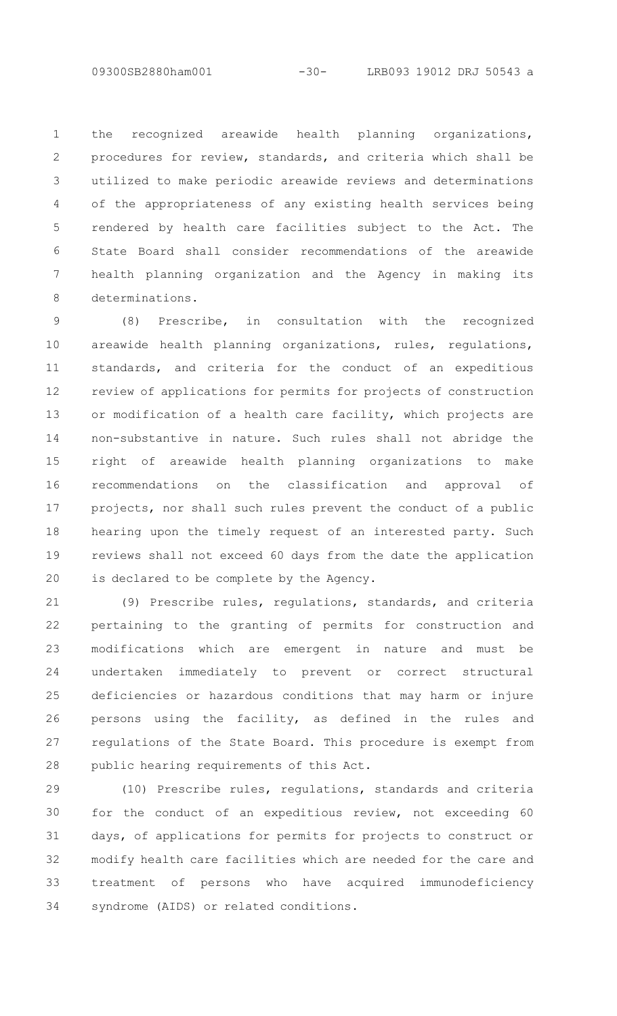the recognized areawide health planning organizations, procedures for review, standards, and criteria which shall be utilized to make periodic areawide reviews and determinations of the appropriateness of any existing health services being rendered by health care facilities subject to the Act. The State Board shall consider recommendations of the areawide health planning organization and the Agency in making its determinations. 1  $\mathcal{P}$ 3 4 5 6 7 8

(8) Prescribe, in consultation with the recognized areawide health planning organizations, rules, regulations, standards, and criteria for the conduct of an expeditious review of applications for permits for projects of construction or modification of a health care facility, which projects are non-substantive in nature. Such rules shall not abridge the right of areawide health planning organizations to make recommendations on the classification and approval of projects, nor shall such rules prevent the conduct of a public hearing upon the timely request of an interested party. Such reviews shall not exceed 60 days from the date the application is declared to be complete by the Agency. 9 10 11 12 13 14 15 16 17 18 19 20

(9) Prescribe rules, regulations, standards, and criteria pertaining to the granting of permits for construction and modifications which are emergent in nature and must be undertaken immediately to prevent or correct structural deficiencies or hazardous conditions that may harm or injure persons using the facility, as defined in the rules and regulations of the State Board. This procedure is exempt from public hearing requirements of this Act. 21 22 23 24 25 26 27 28

(10) Prescribe rules, regulations, standards and criteria for the conduct of an expeditious review, not exceeding 60 days, of applications for permits for projects to construct or modify health care facilities which are needed for the care and treatment of persons who have acquired immunodeficiency syndrome (AIDS) or related conditions. 29 30 31 32 33 34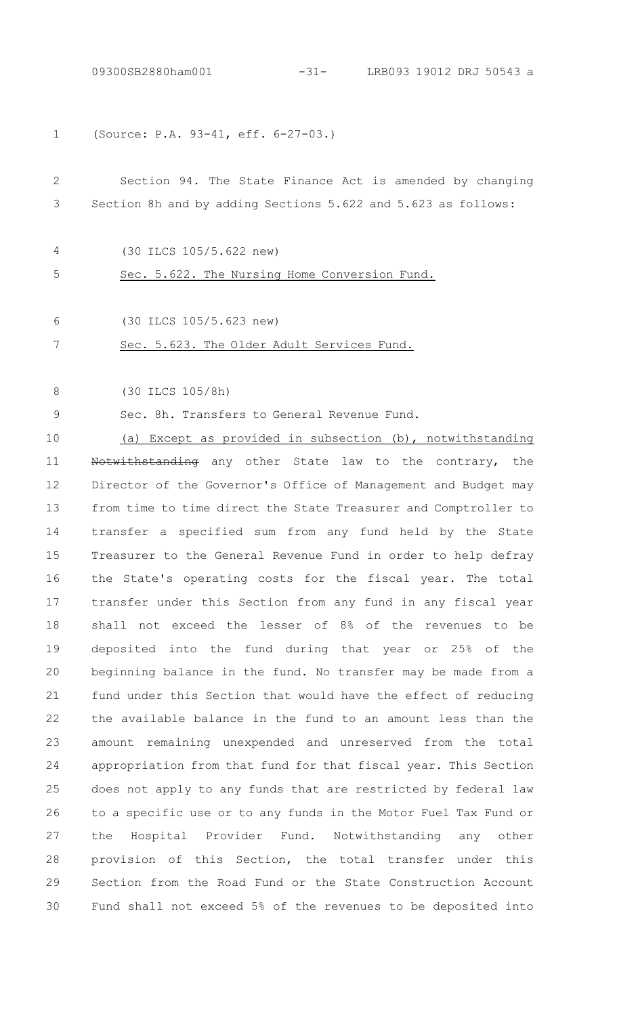(Source: P.A. 93-41, eff. 6-27-03.) 1

### Section 94. The State Finance Act is amended by changing Section 8h and by adding Sections 5.622 and 5.623 as follows: 2 3

4

(30 ILCS 105/5.622 new)

Sec. 5.622. The Nursing Home Conversion Fund. 5

6

(30 ILCS 105/5.623 new)

#### Sec. 5.623. The Older Adult Services Fund. 7

(30 ILCS 105/8h) 8

Sec. 8h. Transfers to General Revenue Fund. 9

(a) Except as provided in subsection (b), notwithstanding Notwithstanding any other State law to the contrary, the Director of the Governor's Office of Management and Budget may from time to time direct the State Treasurer and Comptroller to transfer a specified sum from any fund held by the State Treasurer to the General Revenue Fund in order to help defray the State's operating costs for the fiscal year. The total transfer under this Section from any fund in any fiscal year shall not exceed the lesser of 8% of the revenues to be deposited into the fund during that year or 25% of the beginning balance in the fund. No transfer may be made from a fund under this Section that would have the effect of reducing the available balance in the fund to an amount less than the amount remaining unexpended and unreserved from the total appropriation from that fund for that fiscal year. This Section does not apply to any funds that are restricted by federal law to a specific use or to any funds in the Motor Fuel Tax Fund or the Hospital Provider Fund. Notwithstanding any other provision of this Section, the total transfer under this Section from the Road Fund or the State Construction Account Fund shall not exceed 5% of the revenues to be deposited into 10 11 12 13 14 15 16 17 18 19  $20$ 21 22 23 24 25 26 27 28 29 30